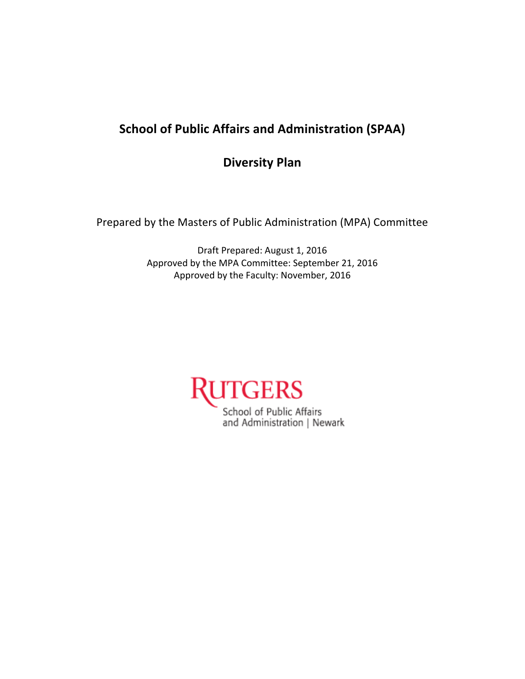# **School of Public Affairs and Administration (SPAA)**

**Diversity Plan**

Prepared by the Masters of Public Administration (MPA) Committee

Draft Prepared: August 1, 2016 Approved by the MPA Committee: September 21, 2016 Approved by the Faculty: November, 2016

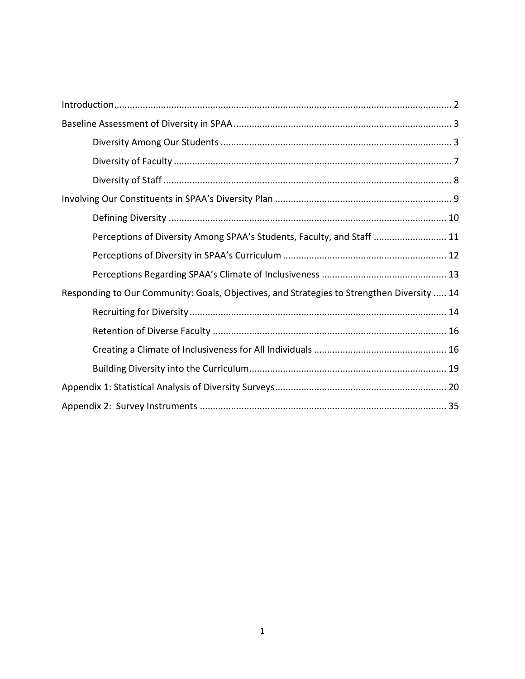| Perceptions of Diversity Among SPAA's Students, Faculty, and Staff  11                     |
|--------------------------------------------------------------------------------------------|
|                                                                                            |
|                                                                                            |
| Responding to Our Community: Goals, Objectives, and Strategies to Strengthen Diversity  14 |
|                                                                                            |
|                                                                                            |
|                                                                                            |
|                                                                                            |
|                                                                                            |
|                                                                                            |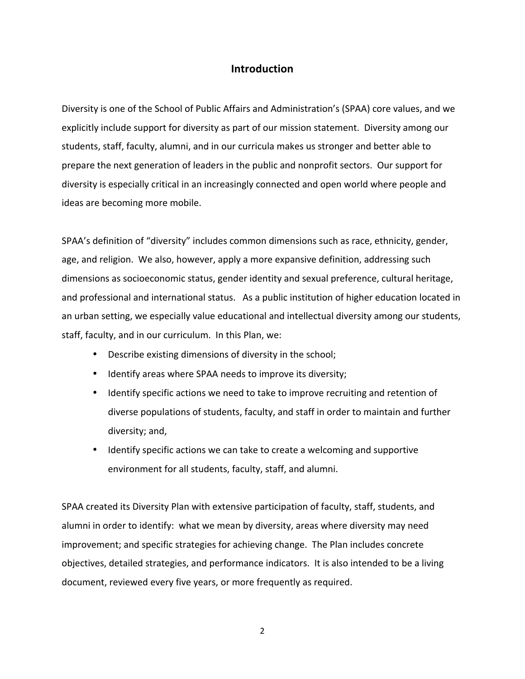### **Introduction**

Diversity is one of the School of Public Affairs and Administration's (SPAA) core values, and we explicitly include support for diversity as part of our mission statement. Diversity among our students, staff, faculty, alumni, and in our curricula makes us stronger and better able to prepare the next generation of leaders in the public and nonprofit sectors. Our support for diversity is especially critical in an increasingly connected and open world where people and ideas are becoming more mobile.

SPAA's definition of "diversity" includes common dimensions such as race, ethnicity, gender, age, and religion. We also, however, apply a more expansive definition, addressing such dimensions as socioeconomic status, gender identity and sexual preference, cultural heritage, and professional and international status. As a public institution of higher education located in an urban setting, we especially value educational and intellectual diversity among our students, staff, faculty, and in our curriculum. In this Plan, we:

- Describe existing dimensions of diversity in the school;
- Identify areas where SPAA needs to improve its diversity;
- Identify specific actions we need to take to improve recruiting and retention of diverse populations of students, faculty, and staff in order to maintain and further diversity; and,
- Identify specific actions we can take to create a welcoming and supportive environment for all students, faculty, staff, and alumni.

SPAA created its Diversity Plan with extensive participation of faculty, staff, students, and alumni in order to identify: what we mean by diversity, areas where diversity may need improvement; and specific strategies for achieving change. The Plan includes concrete objectives, detailed strategies, and performance indicators. It is also intended to be a living document, reviewed every five years, or more frequently as required.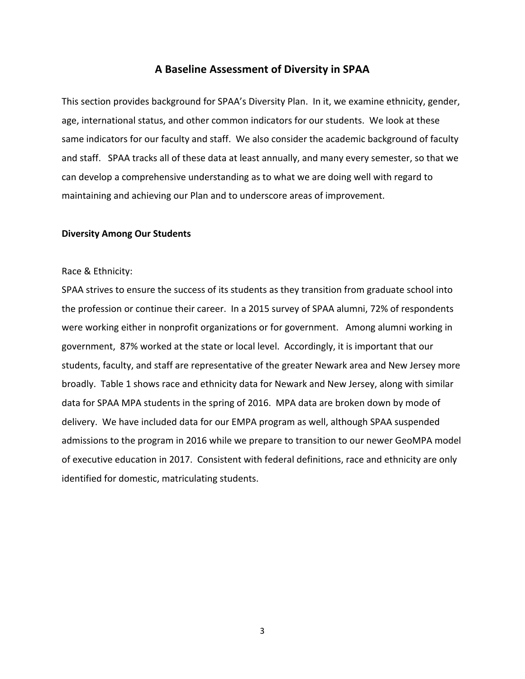#### **A Baseline Assessment of Diversity in SPAA**

This section provides background for SPAA's Diversity Plan. In it, we examine ethnicity, gender, age, international status, and other common indicators for our students. We look at these same indicators for our faculty and staff. We also consider the academic background of faculty and staff. SPAA tracks all of these data at least annually, and many every semester, so that we can develop a comprehensive understanding as to what we are doing well with regard to maintaining and achieving our Plan and to underscore areas of improvement.

#### **Diversity Among Our Students**

#### Race & Ethnicity:

SPAA strives to ensure the success of its students as they transition from graduate school into the profession or continue their career. In a 2015 survey of SPAA alumni, 72% of respondents were working either in nonprofit organizations or for government. Among alumni working in government, 87% worked at the state or local level. Accordingly, it is important that our students, faculty, and staff are representative of the greater Newark area and New Jersey more broadly. Table 1 shows race and ethnicity data for Newark and New Jersey, along with similar data for SPAA MPA students in the spring of 2016. MPA data are broken down by mode of delivery. We have included data for our EMPA program as well, although SPAA suspended admissions to the program in 2016 while we prepare to transition to our newer GeoMPA model of executive education in 2017. Consistent with federal definitions, race and ethnicity are only identified for domestic, matriculating students.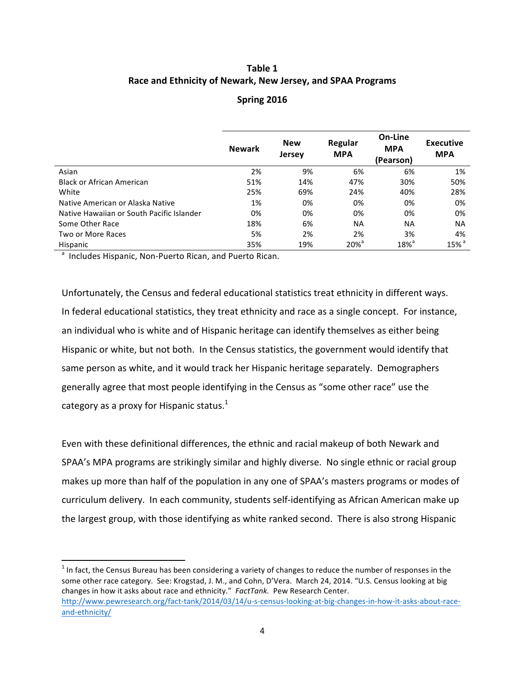### **Table 1** Race and Ethnicity of Newark, New Jersey, and SPAA Programs

#### **Spring 2016**

|                                           | <b>Newark</b> | <b>New</b><br><b>Jersey</b> | Regular<br><b>MPA</b> | On-Line<br><b>MPA</b><br>(Pearson) | <b>Executive</b><br><b>MPA</b> |
|-------------------------------------------|---------------|-----------------------------|-----------------------|------------------------------------|--------------------------------|
| Asian                                     | 2%            | 9%                          | 6%                    | 6%                                 | 1%                             |
| <b>Black or African American</b>          | 51%           | 14%                         | 47%                   | 30%                                | 50%                            |
| White                                     | 25%           | 69%                         | 24%                   | 40%                                | 28%                            |
| Native American or Alaska Native          | 1%            | 0%                          | 0%                    | 0%                                 | 0%                             |
| Native Hawaiian or South Pacific Islander | 0%            | 0%                          | 0%                    | 0%                                 | 0%                             |
| Some Other Race                           | 18%           | 6%                          | <b>NA</b>             | <b>NA</b>                          | <b>NA</b>                      |
| Two or More Races                         | 5%            | 2%                          | 2%                    | 3%                                 | 4%                             |
| Hispanic                                  | 35%           | 19%                         | $20\%$ <sup>d</sup>   | $18\%$ <sup>d</sup>                | $15\%$ <sup>a</sup>            |

a Includes Hispanic, Non-Puerto Rican, and Puerto Rican.

<u> 1989 - Johann Stein, markin film yn y breninn y breninn y breninn y breninn y breninn y breninn y breninn y b</u>

Unfortunately, the Census and federal educational statistics treat ethnicity in different ways. In federal educational statistics, they treat ethnicity and race as a single concept. For instance, an individual who is white and of Hispanic heritage can identify themselves as either being Hispanic or white, but not both. In the Census statistics, the government would identify that same person as white, and it would track her Hispanic heritage separately. Demographers generally agree that most people identifying in the Census as "some other race" use the category as a proxy for Hispanic status.<sup>1</sup>

Even with these definitional differences, the ethnic and racial makeup of both Newark and SPAA's MPA programs are strikingly similar and highly diverse. No single ethnic or racial group makes up more than half of the population in any one of SPAA's masters programs or modes of curriculum delivery. In each community, students self-identifying as African American make up the largest group, with those identifying as white ranked second. There is also strong Hispanic

 $1$  In fact, the Census Bureau has been considering a variety of changes to reduce the number of responses in the some other race category. See: Krogstad, J. M., and Cohn, D'Vera. March 24, 2014. "U.S. Census looking at big changes in how it asks about race and ethnicity." FactTank. Pew Research Center. http://www.pewresearch.org/fact-tank/2014/03/14/u-s-census-looking-at-big-changes-in-how-it-asks-about-raceand-ethnicity/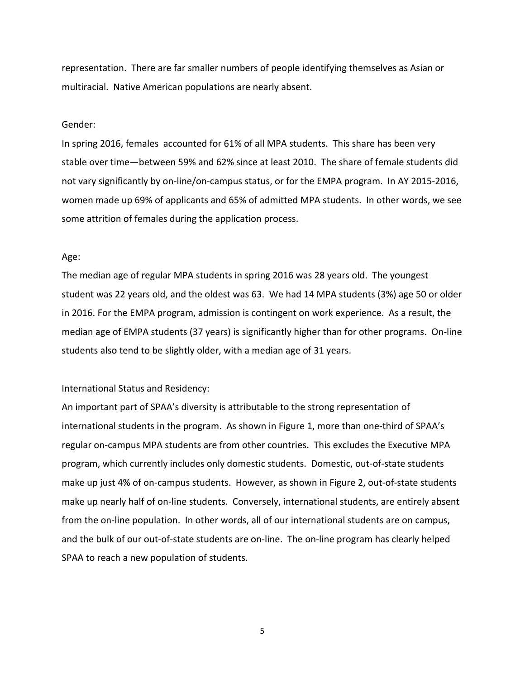representation. There are far smaller numbers of people identifying themselves as Asian or multiracial. Native American populations are nearly absent.

#### Gender:

In spring 2016, females accounted for 61% of all MPA students. This share has been very stable over time—between 59% and 62% since at least 2010. The share of female students did not vary significantly by on-line/on-campus status, or for the EMPA program. In AY 2015-2016, women made up 69% of applicants and 65% of admitted MPA students. In other words, we see some attrition of females during the application process.

#### Age:

The median age of regular MPA students in spring 2016 was 28 years old. The youngest student was 22 years old, and the oldest was 63. We had 14 MPA students (3%) age 50 or older in 2016. For the EMPA program, admission is contingent on work experience. As a result, the median age of EMPA students (37 years) is significantly higher than for other programs. On-line students also tend to be slightly older, with a median age of 31 years.

#### International Status and Residency:

An important part of SPAA's diversity is attributable to the strong representation of international students in the program. As shown in Figure 1, more than one-third of SPAA's regular on-campus MPA students are from other countries. This excludes the Executive MPA program, which currently includes only domestic students. Domestic, out-of-state students make up just 4% of on-campus students. However, as shown in Figure 2, out-of-state students make up nearly half of on-line students. Conversely, international students, are entirely absent from the on-line population. In other words, all of our international students are on campus, and the bulk of our out-of-state students are on-line. The on-line program has clearly helped SPAA to reach a new population of students.

5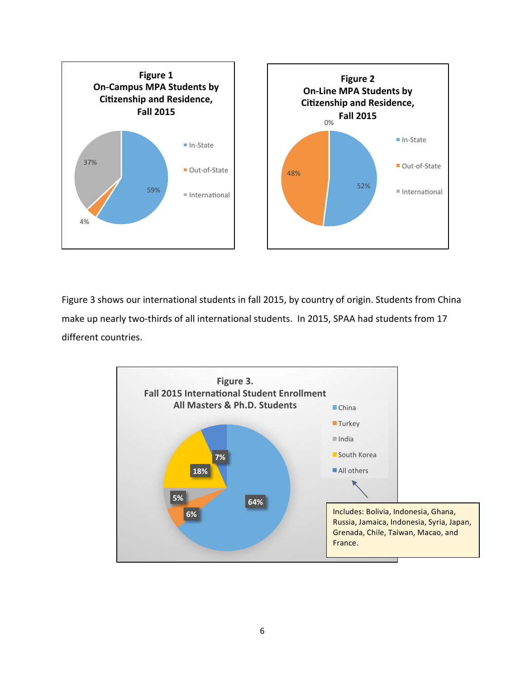

Figure 3 shows our international students in fall 2015, by country of origin. Students from China make up nearly two-thirds of all international students. In 2015, SPAA had students from 17 different countries.

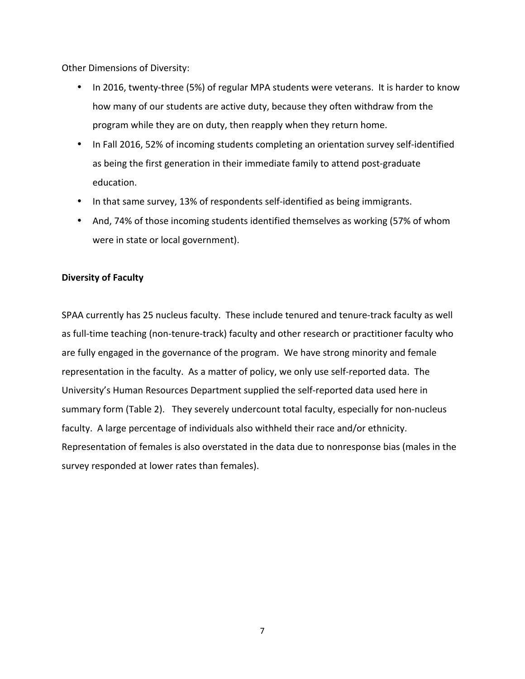Other Dimensions of Diversity:

- In 2016, twenty-three (5%) of regular MPA students were veterans. It is harder to know how many of our students are active duty, because they often withdraw from the program while they are on duty, then reapply when they return home.
- In Fall 2016, 52% of incoming students completing an orientation survey self-identified as being the first generation in their immediate family to attend post-graduate education.
- In that same survey, 13% of respondents self-identified as being immigrants.
- And, 74% of those incoming students identified themselves as working (57% of whom were in state or local government).

#### **Diversity of Faculty**

SPAA currently has 25 nucleus faculty. These include tenured and tenure-track faculty as well as full-time teaching (non-tenure-track) faculty and other research or practitioner faculty who are fully engaged in the governance of the program. We have strong minority and female representation in the faculty. As a matter of policy, we only use self-reported data. The University's Human Resources Department supplied the self-reported data used here in summary form (Table 2). They severely undercount total faculty, especially for non-nucleus faculty. A large percentage of individuals also withheld their race and/or ethnicity. Representation of females is also overstated in the data due to nonresponse bias (males in the survey responded at lower rates than females).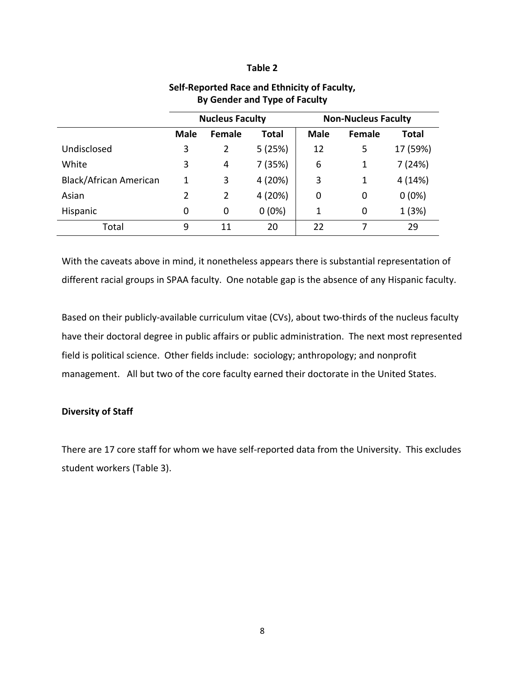#### **Table 2**

|                        | <b>Nucleus Faculty</b> |               |              | <b>Non-Nucleus Faculty</b> |        |          |
|------------------------|------------------------|---------------|--------------|----------------------------|--------|----------|
|                        | <b>Male</b>            | <b>Female</b> | <b>Total</b> | <b>Male</b>                | Female | Total    |
| Undisclosed            | 3                      | 2             | 5(25%)       | 12                         | 5      | 17 (59%) |
| White                  | 3                      | 4             | 7 (35%)      | 6                          | 1      | 7(24%)   |
| Black/African American | 1                      | 3             | 4 (20%)      | 3                          | 1      | 4(14%)   |
| Asian                  | 2                      | 2             | 4 (20%)      | 0                          | 0      | $0(0\%)$ |
| Hispanic               | 0                      | 0             | $0(0\%)$     | 1                          | 0      | 1(3%)    |
| Total                  | 9                      | 11            | 20           | 22                         | 7      | 29       |

### **Self-Reported Race and Ethnicity of Faculty, By Gender and Type of Faculty**

With the caveats above in mind, it nonetheless appears there is substantial representation of different racial groups in SPAA faculty. One notable gap is the absence of any Hispanic faculty.

Based on their publicly-available curriculum vitae (CVs), about two-thirds of the nucleus faculty have their doctoral degree in public affairs or public administration. The next most represented field is political science. Other fields include: sociology; anthropology; and nonprofit management. All but two of the core faculty earned their doctorate in the United States.

#### **Diversity of Staff**

There are 17 core staff for whom we have self-reported data from the University. This excludes student workers (Table 3).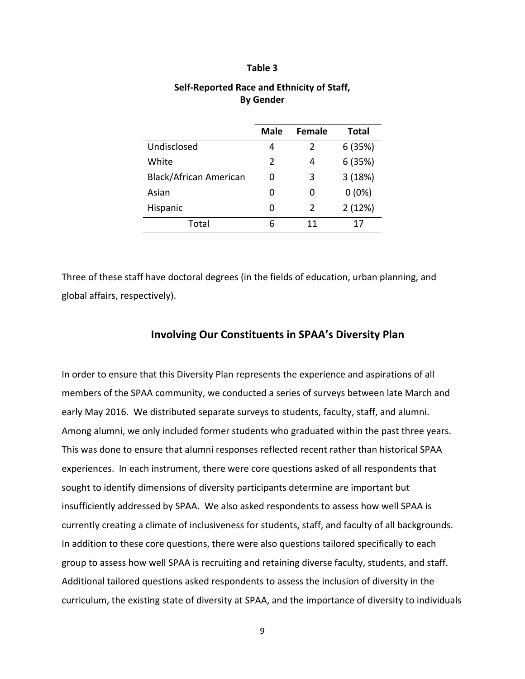#### **Table 3**

|                        | <b>Male</b> | <b>Female</b> | Total    |
|------------------------|-------------|---------------|----------|
| Undisclosed            | 4           | 2             | 6(35%)   |
| White                  | 2           | 4             | 6(35%)   |
| Black/African American | 0           | 3             | 3(18%)   |
| Asian                  | ი           | 0             | $0(0\%)$ |
| Hispanic               | O           | $\mathcal{P}$ | 2(12%)   |
| Total                  | 6           | 11            | 17       |

#### **Self-Reported Race and Ethnicity of Staff, By Gender**

Three of these staff have doctoral degrees (in the fields of education, urban planning, and global affairs, respectively).

#### **Involving Our Constituents in SPAA's Diversity Plan**

In order to ensure that this Diversity Plan represents the experience and aspirations of all members of the SPAA community, we conducted a series of surveys between late March and early May 2016. We distributed separate surveys to students, faculty, staff, and alumni. Among alumni, we only included former students who graduated within the past three years. This was done to ensure that alumni responses reflected recent rather than historical SPAA experiences. In each instrument, there were core questions asked of all respondents that sought to identify dimensions of diversity participants determine are important but insufficiently addressed by SPAA. We also asked respondents to assess how well SPAA is currently creating a climate of inclusiveness for students, staff, and faculty of all backgrounds. In addition to these core questions, there were also questions tailored specifically to each group to assess how well SPAA is recruiting and retaining diverse faculty, students, and staff. Additional tailored questions asked respondents to assess the inclusion of diversity in the curriculum, the existing state of diversity at SPAA, and the importance of diversity to individuals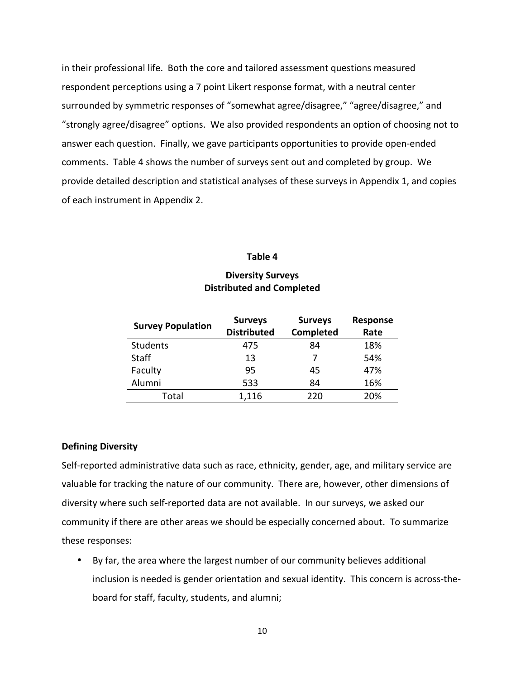in their professional life. Both the core and tailored assessment questions measured respondent perceptions using a 7 point Likert response format, with a neutral center surrounded by symmetric responses of "somewhat agree/disagree," "agree/disagree," and "strongly agree/disagree" options. We also provided respondents an option of choosing not to answer each question. Finally, we gave participants opportunities to provide open-ended comments. Table 4 shows the number of surveys sent out and completed by group. We provide detailed description and statistical analyses of these surveys in Appendix 1, and copies of each instrument in Appendix 2.

#### **Table 4**

|                          | <b>Surveys</b>     | <b>Surveys</b> | <b>Response</b> |
|--------------------------|--------------------|----------------|-----------------|
| <b>Survey Population</b> | <b>Distributed</b> | Completed      | Rate            |
| <b>Students</b>          | 475                | 84             | 18%             |
| <b>Staff</b>             | 13                 | 7              | 54%             |
| Faculty                  | 95                 | 45             | 47%             |
| Alumni                   | 533                | 84             | 16%             |
| Total                    | 1,116              | 220            | 20%             |

#### **Diversity Surveys Distributed and Completed**

#### **Defining Diversity**

Self-reported administrative data such as race, ethnicity, gender, age, and military service are valuable for tracking the nature of our community. There are, however, other dimensions of diversity where such self-reported data are not available. In our surveys, we asked our community if there are other areas we should be especially concerned about. To summarize these responses:

• By far, the area where the largest number of our community believes additional inclusion is needed is gender orientation and sexual identity. This concern is across-theboard for staff, faculty, students, and alumni;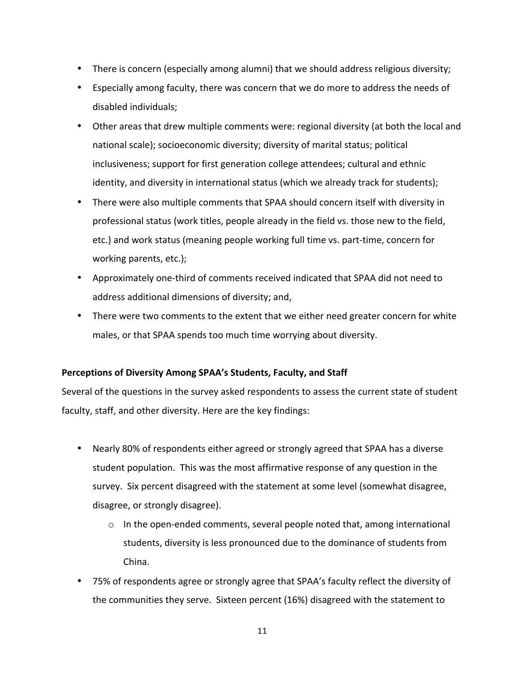- There is concern (especially among alumni) that we should address religious diversity;
- Especially among faculty, there was concern that we do more to address the needs of disabled individuals;
- Other areas that drew multiple comments were: regional diversity (at both the local and national scale); socioeconomic diversity; diversity of marital status; political inclusiveness; support for first generation college attendees; cultural and ethnic identity, and diversity in international status (which we already track for students);
- There were also multiple comments that SPAA should concern itself with diversity in professional status (work titles, people already in the field vs. those new to the field, etc.) and work status (meaning people working full time vs. part-time, concern for working parents, etc.);
- Approximately one-third of comments received indicated that SPAA did not need to address additional dimensions of diversity; and,
- There were two comments to the extent that we either need greater concern for white males, or that SPAA spends too much time worrying about diversity.

### Perceptions of Diversity Among SPAA's Students, Faculty, and Staff

Several of the questions in the survey asked respondents to assess the current state of student faculty, staff, and other diversity. Here are the key findings:

- Nearly 80% of respondents either agreed or strongly agreed that SPAA has a diverse student population. This was the most affirmative response of any question in the survey. Six percent disagreed with the statement at some level (somewhat disagree, disagree, or strongly disagree).
	- $\circ$  In the open-ended comments, several people noted that, among international students, diversity is less pronounced due to the dominance of students from China.
- 75% of respondents agree or strongly agree that SPAA's faculty reflect the diversity of the communities they serve. Sixteen percent (16%) disagreed with the statement to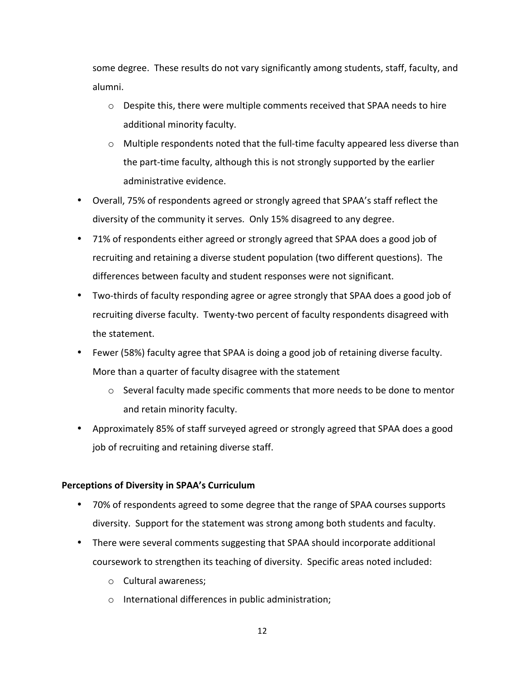some degree. These results do not vary significantly among students, staff, faculty, and alumni.

- $\circ$  Despite this, there were multiple comments received that SPAA needs to hire additional minority faculty.
- $\circ$  Multiple respondents noted that the full-time faculty appeared less diverse than the part-time faculty, although this is not strongly supported by the earlier administrative evidence.
- Overall, 75% of respondents agreed or strongly agreed that SPAA's staff reflect the diversity of the community it serves. Only 15% disagreed to any degree.
- 71% of respondents either agreed or strongly agreed that SPAA does a good job of recruiting and retaining a diverse student population (two different questions). The differences between faculty and student responses were not significant.
- Two-thirds of faculty responding agree or agree strongly that SPAA does a good job of recruiting diverse faculty. Twenty-two percent of faculty respondents disagreed with the statement.
- Fewer (58%) faculty agree that SPAA is doing a good job of retaining diverse faculty. More than a quarter of faculty disagree with the statement
	- $\circ$  Several faculty made specific comments that more needs to be done to mentor and retain minority faculty.
- Approximately 85% of staff surveyed agreed or strongly agreed that SPAA does a good job of recruiting and retaining diverse staff.

#### **Perceptions of Diversity in SPAA's Curriculum**

- 70% of respondents agreed to some degree that the range of SPAA courses supports diversity. Support for the statement was strong among both students and faculty.
- There were several comments suggesting that SPAA should incorporate additional coursework to strengthen its teaching of diversity. Specific areas noted included:
	- $\circ$  Cultural awareness;
	- $\circ$  International differences in public administration;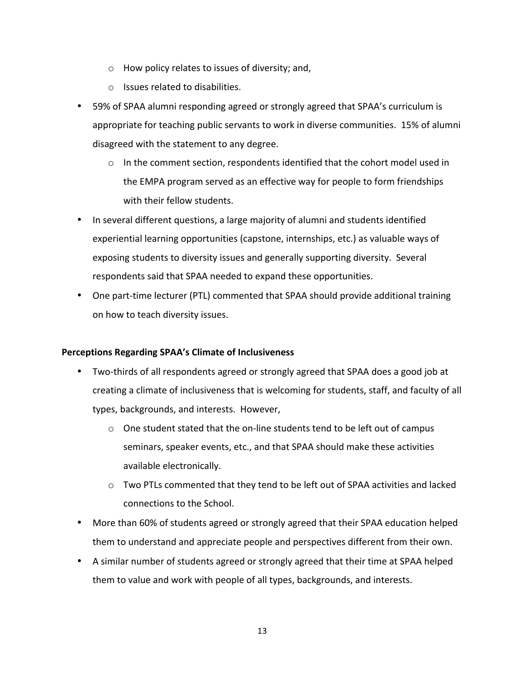- $\circ$  How policy relates to issues of diversity; and,
- $\circ$  Issues related to disabilities.
- 59% of SPAA alumni responding agreed or strongly agreed that SPAA's curriculum is appropriate for teaching public servants to work in diverse communities. 15% of alumni disagreed with the statement to any degree.
	- $\circ$  In the comment section, respondents identified that the cohort model used in the EMPA program served as an effective way for people to form friendships with their fellow students.
- In several different questions, a large majority of alumni and students identified experiential learning opportunities (capstone, internships, etc.) as valuable ways of exposing students to diversity issues and generally supporting diversity. Several respondents said that SPAA needed to expand these opportunities.
- One part-time lecturer (PTL) commented that SPAA should provide additional training on how to teach diversity issues.

#### **Perceptions Regarding SPAA's Climate of Inclusiveness**

- Two-thirds of all respondents agreed or strongly agreed that SPAA does a good job at creating a climate of inclusiveness that is welcoming for students, staff, and faculty of all types, backgrounds, and interests. However,
	- $\circ$  One student stated that the on-line students tend to be left out of campus seminars, speaker events, etc., and that SPAA should make these activities available electronically.
	- $\circ$  Two PTLs commented that they tend to be left out of SPAA activities and lacked connections to the School.
- More than 60% of students agreed or strongly agreed that their SPAA education helped them to understand and appreciate people and perspectives different from their own.
- A similar number of students agreed or strongly agreed that their time at SPAA helped them to value and work with people of all types, backgrounds, and interests.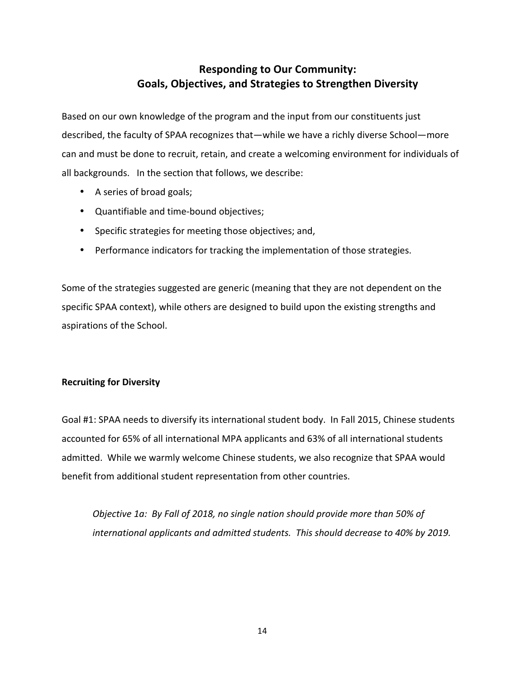## **Responding to Our Community:** Goals, Objectives, and Strategies to Strengthen Diversity

Based on our own knowledge of the program and the input from our constituents just described, the faculty of SPAA recognizes that—while we have a richly diverse School—more can and must be done to recruit, retain, and create a welcoming environment for individuals of all backgrounds. In the section that follows, we describe:

- A series of broad goals;
- Quantifiable and time-bound objectives;
- Specific strategies for meeting those objectives; and,
- Performance indicators for tracking the implementation of those strategies.

Some of the strategies suggested are generic (meaning that they are not dependent on the specific SPAA context), while others are designed to build upon the existing strengths and aspirations of the School.

#### **Recruiting for Diversity**

Goal #1: SPAA needs to diversify its international student body. In Fall 2015, Chinese students accounted for 65% of all international MPA applicants and 63% of all international students admitted. While we warmly welcome Chinese students, we also recognize that SPAA would benefit from additional student representation from other countries.

*Objective* 1a: By Fall of 2018, no single nation should provide more than 50% of international applicants and admitted students. This should decrease to 40% by 2019.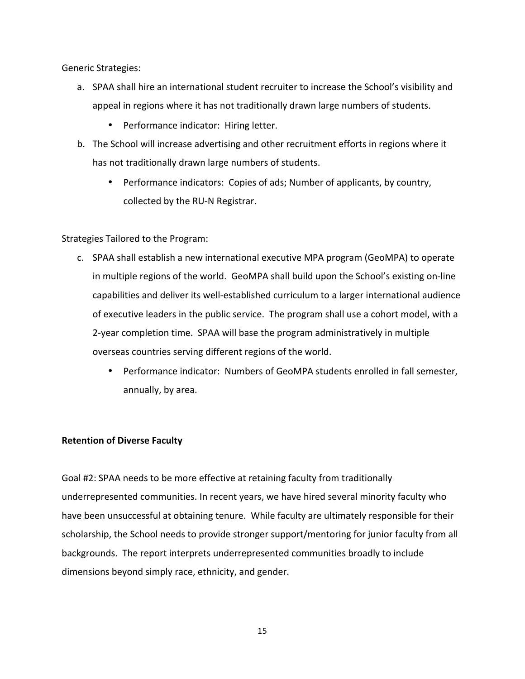Generic Strategies:

- a. SPAA shall hire an international student recruiter to increase the School's visibility and appeal in regions where it has not traditionally drawn large numbers of students.
	- Performance indicator: Hiring letter.
- b. The School will increase advertising and other recruitment efforts in regions where it has not traditionally drawn large numbers of students.
	- Performance indicators: Copies of ads; Number of applicants, by country, collected by the RU-N Registrar.

Strategies Tailored to the Program:

- c. SPAA shall establish a new international executive MPA program (GeoMPA) to operate in multiple regions of the world. GeoMPA shall build upon the School's existing on-line capabilities and deliver its well-established curriculum to a larger international audience of executive leaders in the public service. The program shall use a cohort model, with a 2-year completion time. SPAA will base the program administratively in multiple overseas countries serving different regions of the world.
	- Performance indicator: Numbers of GeoMPA students enrolled in fall semester, annually, by area.

#### **Retention of Diverse Faculty**

Goal #2: SPAA needs to be more effective at retaining faculty from traditionally underrepresented communities. In recent years, we have hired several minority faculty who have been unsuccessful at obtaining tenure. While faculty are ultimately responsible for their scholarship, the School needs to provide stronger support/mentoring for junior faculty from all backgrounds. The report interprets underrepresented communities broadly to include dimensions beyond simply race, ethnicity, and gender.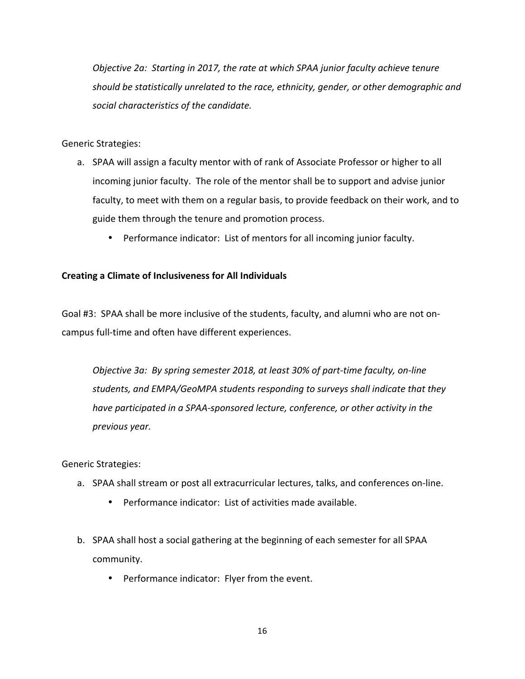*Objective* 2a: Starting in 2017, the rate at which SPAA junior faculty achieve tenure should be statistically unrelated to the race, ethnicity, gender, or other demographic and social characteristics of the candidate.

Generic Strategies:

- a. SPAA will assign a faculty mentor with of rank of Associate Professor or higher to all incoming junior faculty. The role of the mentor shall be to support and advise junior faculty, to meet with them on a regular basis, to provide feedback on their work, and to guide them through the tenure and promotion process.
	- Performance indicator: List of mentors for all incoming junior faculty.

### **Creating a Climate of Inclusiveness for All Individuals**

Goal #3: SPAA shall be more inclusive of the students, faculty, and alumni who are not oncampus full-time and often have different experiences.

*Objective 3a: By spring semester 2018, at least 30% of part-time faculty, on-line* students, and EMPA/GeoMPA students responding to surveys shall indicate that they *have participated in a SPAA-sponsored lecture, conference, or other activity in the previous year.* 

Generic Strategies:

- a. SPAA shall stream or post all extracurricular lectures, talks, and conferences on-line.
	- Performance indicator: List of activities made available.
- b. SPAA shall host a social gathering at the beginning of each semester for all SPAA community.
	- Performance indicator: Flyer from the event.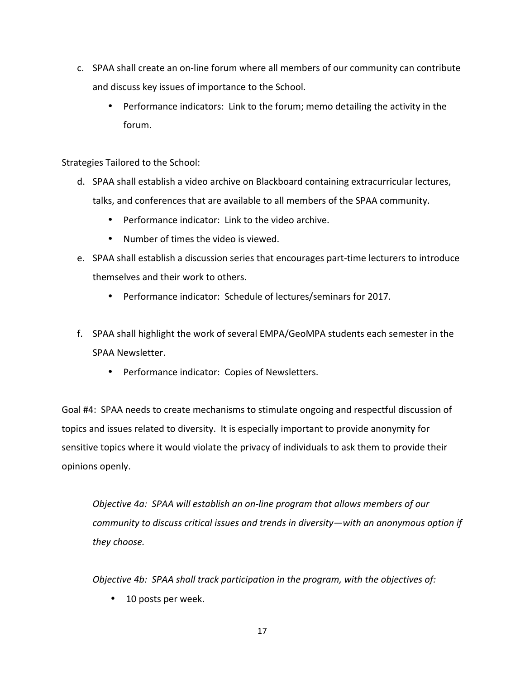- c. SPAA shall create an on-line forum where all members of our community can contribute and discuss key issues of importance to the School.
	- Performance indicators: Link to the forum; memo detailing the activity in the forum.

Strategies Tailored to the School:

- d. SPAA shall establish a video archive on Blackboard containing extracurricular lectures, talks, and conferences that are available to all members of the SPAA community.
	- Performance indicator: Link to the video archive.
	- Number of times the video is viewed.
- e. SPAA shall establish a discussion series that encourages part-time lecturers to introduce themselves and their work to others.
	- Performance indicator: Schedule of lectures/seminars for 2017.
- f. SPAA shall highlight the work of several EMPA/GeoMPA students each semester in the SPAA Newsletter.
	- Performance indicator: Copies of Newsletters.

Goal #4: SPAA needs to create mechanisms to stimulate ongoing and respectful discussion of topics and issues related to diversity. It is especially important to provide anonymity for sensitive topics where it would violate the privacy of individuals to ask them to provide their opinions openly. 

*Objective 4a: SPAA will establish an on-line program that allows members of our community* to discuss critical issues and trends in diversity—with an anonymous option if *they choose.*

*Objective 4b: SPAA shall track participation in the program, with the objectives of:* 

• 10 posts per week.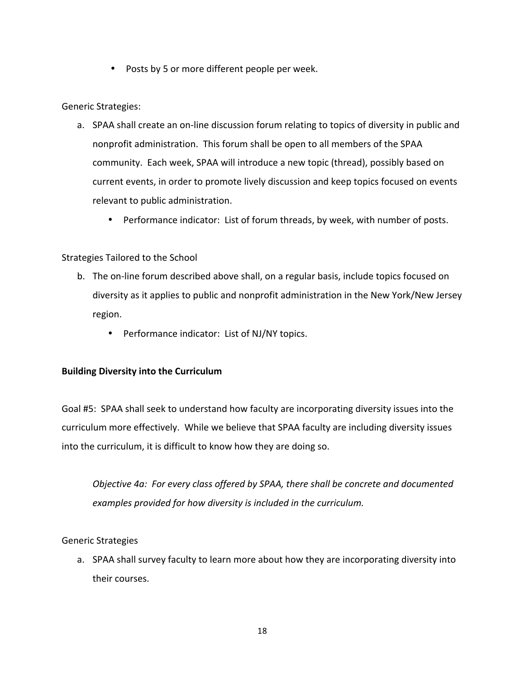• Posts by 5 or more different people per week.

Generic Strategies:

- a. SPAA shall create an on-line discussion forum relating to topics of diversity in public and nonprofit administration. This forum shall be open to all members of the SPAA community. Each week, SPAA will introduce a new topic (thread), possibly based on current events, in order to promote lively discussion and keep topics focused on events relevant to public administration.
	- Performance indicator: List of forum threads, by week, with number of posts.

#### Strategies Tailored to the School

- b. The on-line forum described above shall, on a regular basis, include topics focused on diversity as it applies to public and nonprofit administration in the New York/New Jersey region.
	- Performance indicator: List of NJ/NY topics.

#### **Building Diversity into the Curriculum**

Goal #5: SPAA shall seek to understand how faculty are incorporating diversity issues into the curriculum more effectively. While we believe that SPAA faculty are including diversity issues into the curriculum, it is difficult to know how they are doing so.

*Objective* 4a: For every class offered by SPAA, there shall be concrete and documented examples provided for how diversity is included in the curriculum.

Generic Strategies

a. SPAA shall survey faculty to learn more about how they are incorporating diversity into their courses.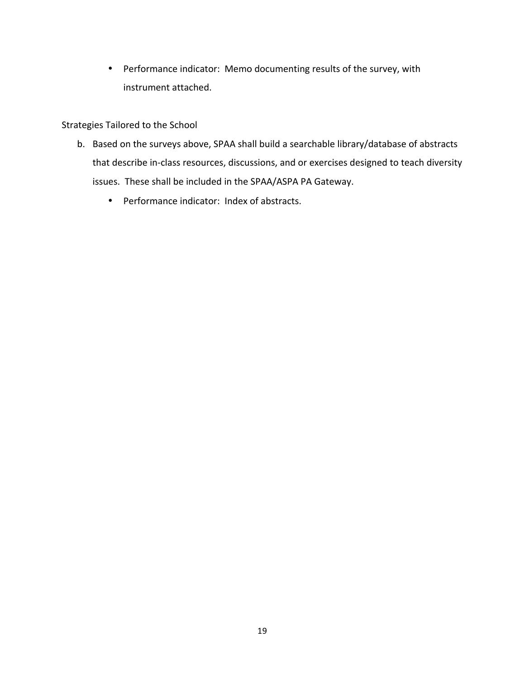• Performance indicator: Memo documenting results of the survey, with instrument attached.

Strategies Tailored to the School

- b. Based on the surveys above, SPAA shall build a searchable library/database of abstracts that describe in-class resources, discussions, and or exercises designed to teach diversity issues. These shall be included in the SPAA/ASPA PA Gateway.
	- Performance indicator: Index of abstracts.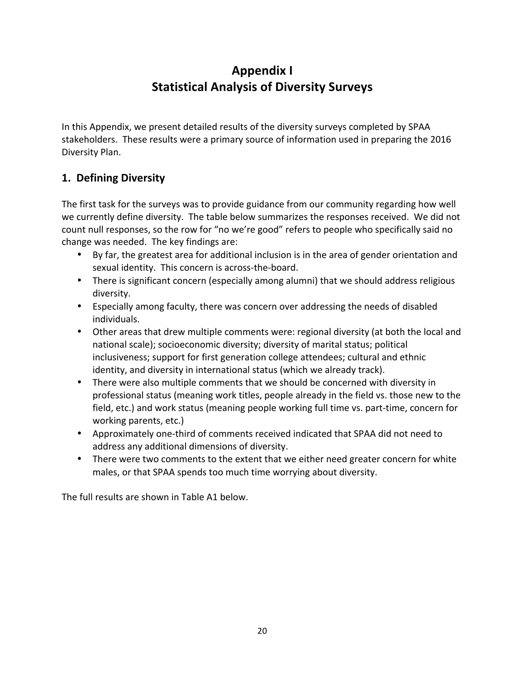# **Appendix I Statistical Analysis of Diversity Surveys**

In this Appendix, we present detailed results of the diversity surveys completed by SPAA stakeholders. These results were a primary source of information used in preparing the 2016 Diversity Plan.

## **1. Defining Diversity**

The first task for the surveys was to provide guidance from our community regarding how well we currently define diversity. The table below summarizes the responses received. We did not count null responses, so the row for "no we're good" refers to people who specifically said no change was needed. The key findings are:

- By far, the greatest area for additional inclusion is in the area of gender orientation and sexual identity. This concern is across-the-board.
- There is significant concern (especially among alumni) that we should address religious diversity.
- Especially among faculty, there was concern over addressing the needs of disabled individuals.
- Other areas that drew multiple comments were: regional diversity (at both the local and national scale); socioeconomic diversity; diversity of marital status; political inclusiveness; support for first generation college attendees; cultural and ethnic identity, and diversity in international status (which we already track).
- There were also multiple comments that we should be concerned with diversity in professional status (meaning work titles, people already in the field vs. those new to the field, etc.) and work status (meaning people working full time vs. part-time, concern for working parents, etc.)
- Approximately one-third of comments received indicated that SPAA did not need to address any additional dimensions of diversity.
- There were two comments to the extent that we either need greater concern for white males, or that SPAA spends too much time worrying about diversity.

The full results are shown in Table A1 below.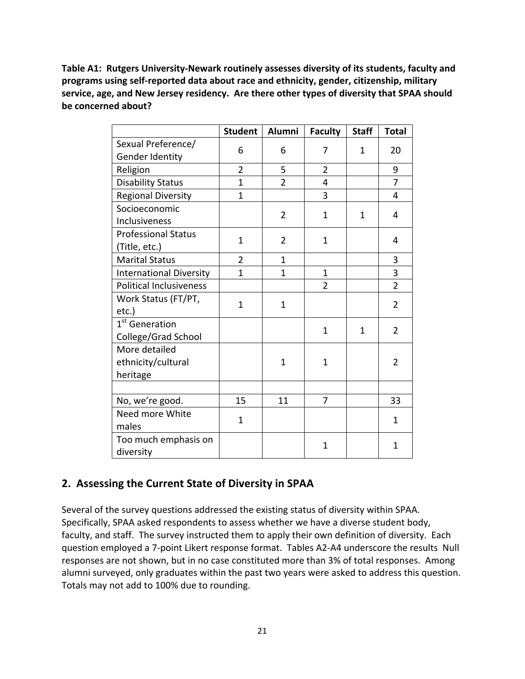Table A1: Rutgers University-Newark routinely assesses diversity of its students, faculty and **programs using self-reported data about race and ethnicity, gender, citizenship, military** service, age, and New Jersey residency. Are there other types of diversity that SPAA should **be concerned about?** 

|                                | <b>Student</b> | Alumni         | <b>Faculty</b> | <b>Staff</b> | <b>Total</b>   |
|--------------------------------|----------------|----------------|----------------|--------------|----------------|
| Sexual Preference/             | 6              | 6              | 7              | 1            | 20             |
| Gender Identity                |                |                |                |              |                |
| Religion                       | $\overline{2}$ | 5              | $\overline{2}$ |              | 9              |
| <b>Disability Status</b>       | $\mathbf{1}$   | $\overline{2}$ | 4              |              | $\overline{7}$ |
| <b>Regional Diversity</b>      | $\mathbf{1}$   |                | 3              |              | 4              |
| Socioeconomic                  |                | $\overline{2}$ | $\mathbf{1}$   | 1            | 4              |
| Inclusiveness                  |                |                |                |              |                |
| <b>Professional Status</b>     | $\mathbf{1}$   | $\overline{2}$ | $\mathbf{1}$   |              | 4              |
| (Title, etc.)                  |                |                |                |              |                |
| <b>Marital Status</b>          | $\overline{2}$ | $\mathbf{1}$   |                |              | 3              |
| <b>International Diversity</b> | $\mathbf{1}$   | $\mathbf{1}$   | $\mathbf{1}$   |              | $\overline{3}$ |
| <b>Political Inclusiveness</b> |                |                | $\overline{2}$ |              | $\overline{2}$ |
| Work Status (FT/PT,            | $\mathbf{1}$   | $\mathbf 1$    |                |              | $\overline{2}$ |
| etc.)                          |                |                |                |              |                |
| 1 <sup>st</sup> Generation     |                |                | $\mathbf{1}$   | 1            | $\overline{2}$ |
| College/Grad School            |                |                |                |              |                |
| More detailed                  |                |                |                |              |                |
| ethnicity/cultural             |                | $\mathbf 1$    | $\mathbf{1}$   |              | $\overline{2}$ |
| heritage                       |                |                |                |              |                |
|                                |                |                |                |              |                |
| No, we're good.                | 15             | 11             | 7              |              | 33             |
| Need more White                | $\mathbf{1}$   |                |                |              | $\mathbf{1}$   |
| males                          |                |                |                |              |                |
| Too much emphasis on           |                |                | $\mathbf{1}$   |              | $\mathbf{1}$   |
| diversity                      |                |                |                |              |                |

## **2. Assessing the Current State of Diversity in SPAA**

Several of the survey questions addressed the existing status of diversity within SPAA. Specifically, SPAA asked respondents to assess whether we have a diverse student body, faculty, and staff. The survey instructed them to apply their own definition of diversity. Each question employed a 7-point Likert response format. Tables A2-A4 underscore the results Null responses are not shown, but in no case constituted more than 3% of total responses. Among alumni surveyed, only graduates within the past two years were asked to address this question. Totals may not add to 100% due to rounding.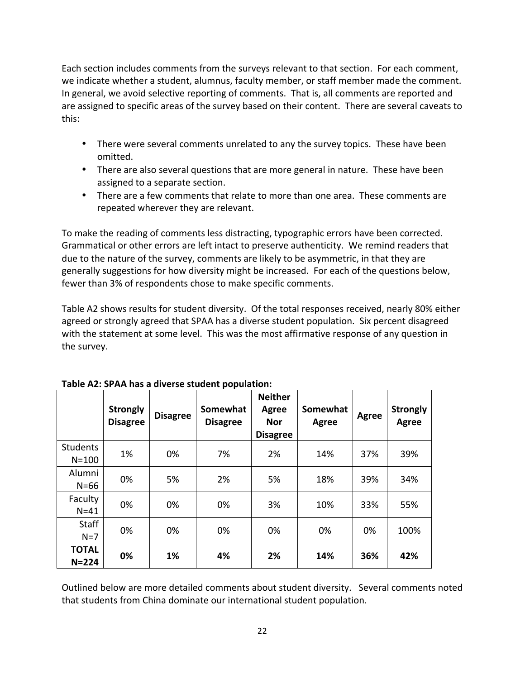Each section includes comments from the surveys relevant to that section. For each comment, we indicate whether a student, alumnus, faculty member, or staff member made the comment. In general, we avoid selective reporting of comments. That is, all comments are reported and are assigned to specific areas of the survey based on their content. There are several caveats to this:

- There were several comments unrelated to any the survey topics. These have been omitted.
- There are also several questions that are more general in nature. These have been assigned to a separate section.
- There are a few comments that relate to more than one area. These comments are repeated wherever they are relevant.

To make the reading of comments less distracting, typographic errors have been corrected. Grammatical or other errors are left intact to preserve authenticity. We remind readers that due to the nature of the survey, comments are likely to be asymmetric, in that they are generally suggestions for how diversity might be increased. For each of the questions below, fewer than 3% of respondents chose to make specific comments.

Table A2 shows results for student diversity. Of the total responses received, nearly 80% either agreed or strongly agreed that SPAA has a diverse student population. Six percent disagreed with the statement at some level. This was the most affirmative response of any question in the survey.

|                              | <b>Strongly</b><br><b>Disagree</b> | <b>Disagree</b> | Somewhat<br><b>Disagree</b> | <b>Neither</b><br><b>Agree</b><br><b>Nor</b><br><b>Disagree</b> | Somewhat<br>Agree | Agree | <b>Strongly</b><br>Agree |
|------------------------------|------------------------------------|-----------------|-----------------------------|-----------------------------------------------------------------|-------------------|-------|--------------------------|
| <b>Students</b><br>$N = 100$ | 1%                                 | 0%              | 7%                          | 2%                                                              | 14%               | 37%   | 39%                      |
| Alumni<br>$N=66$             | 0%                                 | 5%              | 2%                          | 5%                                                              | 18%               | 39%   | 34%                      |
| Faculty<br>$N = 41$          | 0%                                 | 0%              | 0%                          | 3%                                                              | 10%               | 33%   | 55%                      |
| Staff<br>$N=7$               | 0%                                 | 0%              | 0%                          | 0%                                                              | 0%                | 0%    | 100%                     |
| <b>TOTAL</b><br>$N = 224$    | 0%                                 | 1%              | 4%                          | 2%                                                              | 14%               | 36%   | 42%                      |

Outlined below are more detailed comments about student diversity. Several comments noted that students from China dominate our international student population.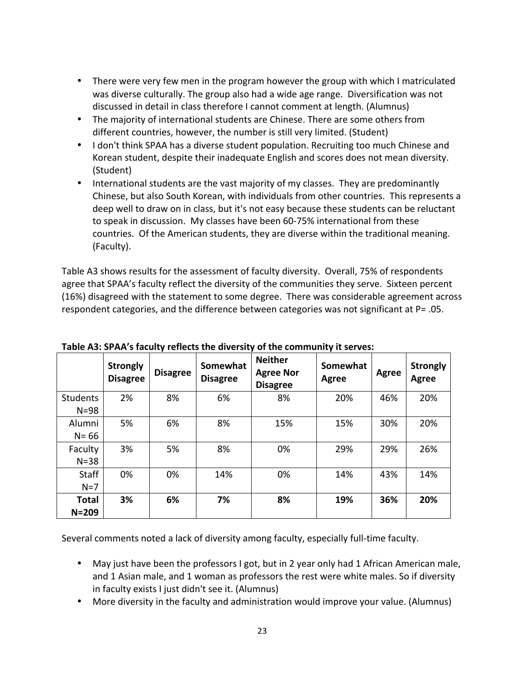- There were very few men in the program however the group with which I matriculated was diverse culturally. The group also had a wide age range. Diversification was not discussed in detail in class therefore I cannot comment at length. (Alumnus)
- The majority of international students are Chinese. There are some others from different countries, however, the number is still very limited. (Student)
- I don't think SPAA has a diverse student population. Recruiting too much Chinese and Korean student, despite their inadequate English and scores does not mean diversity. (Student)
- International students are the vast majority of my classes. They are predominantly Chinese, but also South Korean, with individuals from other countries. This represents a deep well to draw on in class, but it's not easy because these students can be reluctant to speak in discussion. My classes have been 60-75% international from these countries. Of the American students, they are diverse within the traditional meaning. (Faculty).

Table A3 shows results for the assessment of faculty diversity. Overall, 75% of respondents agree that SPAA's faculty reflect the diversity of the communities they serve. Sixteen percent (16%) disagreed with the statement to some degree. There was considerable agreement across respondent categories, and the difference between categories was not significant at  $P=$  .05.

|                             | <b>Strongly</b><br><b>Disagree</b> | <b>Disagree</b> | Somewhat<br><b>Disagree</b> | <b>Neither</b><br><b>Agree Nor</b><br><b>Disagree</b> | Somewhat<br>Agree | Agree | <b>Strongly</b><br><b>Agree</b> |
|-----------------------------|------------------------------------|-----------------|-----------------------------|-------------------------------------------------------|-------------------|-------|---------------------------------|
| <b>Students</b><br>$N = 98$ | 2%                                 | 8%              | 6%                          | 8%                                                    | 20%               | 46%   | 20%                             |
| Alumni<br>$N = 66$          | 5%                                 | 6%              | 8%                          | 15%                                                   | 15%               | 30%   | 20%                             |
| Faculty<br>$N = 38$         | 3%                                 | 5%              | 8%                          | 0%                                                    | 29%               | 29%   | 26%                             |
| <b>Staff</b><br>$N=7$       | 0%                                 | 0%              | 14%                         | 0%                                                    | 14%               | 43%   | 14%                             |
| <b>Total</b><br>$N = 209$   | 3%                                 | 6%              | 7%                          | 8%                                                    | 19%               | 36%   | 20%                             |

**Table A3: SPAA's faculty reflects the diversity of the community it serves:** 

Several comments noted a lack of diversity among faculty, especially full-time faculty.

- May just have been the professors I got, but in 2 year only had 1 African American male, and 1 Asian male, and 1 woman as professors the rest were white males. So if diversity in faculty exists I just didn't see it. (Alumnus)
- More diversity in the faculty and administration would improve your value. (Alumnus)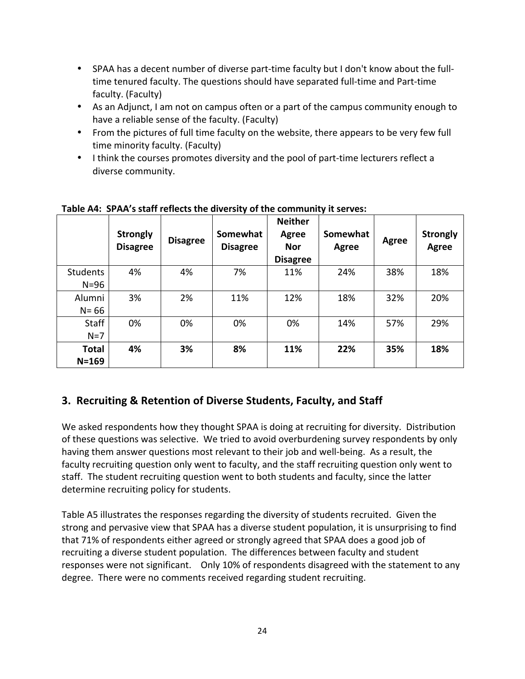- SPAA has a decent number of diverse part-time faculty but I don't know about the fulltime tenured faculty. The questions should have separated full-time and Part-time faculty. (Faculty)
- As an Adjunct, I am not on campus often or a part of the campus community enough to have a reliable sense of the faculty. (Faculty)
- From the pictures of full time faculty on the website, there appears to be very few full time minority faculty. (Faculty)
- I think the courses promotes diversity and the pool of part-time lecturers reflect a diverse community.

|                             | <b>Strongly</b><br><b>Disagree</b> | <b>Disagree</b> | Somewhat<br><b>Disagree</b> | <b>Neither</b><br>Agree<br><b>Nor</b><br><b>Disagree</b> | Somewhat<br>Agree | Agree | <b>Strongly</b><br>Agree |
|-----------------------------|------------------------------------|-----------------|-----------------------------|----------------------------------------------------------|-------------------|-------|--------------------------|
| <b>Students</b><br>$N = 96$ | 4%                                 | 4%              | 7%                          | 11%                                                      | 24%               | 38%   | 18%                      |
| Alumni<br>$N = 66$          | 3%                                 | 2%              | 11%                         | 12%                                                      | 18%               | 32%   | 20%                      |
| <b>Staff</b><br>$N=7$       | 0%                                 | 0%              | 0%                          | 0%                                                       | 14%               | 57%   | 29%                      |
| <b>Total</b><br>$N = 169$   | 4%                                 | 3%              | 8%                          | 11%                                                      | 22%               | 35%   | 18%                      |

### Table A4: SPAA's staff reflects the diversity of the community it serves:

## **3. Recruiting & Retention of Diverse Students, Faculty, and Staff**

We asked respondents how they thought SPAA is doing at recruiting for diversity. Distribution of these questions was selective. We tried to avoid overburdening survey respondents by only having them answer questions most relevant to their job and well-being. As a result, the faculty recruiting question only went to faculty, and the staff recruiting question only went to staff. The student recruiting question went to both students and faculty, since the latter determine recruiting policy for students.

Table A5 illustrates the responses regarding the diversity of students recruited. Given the strong and pervasive view that SPAA has a diverse student population, it is unsurprising to find that 71% of respondents either agreed or strongly agreed that SPAA does a good job of recruiting a diverse student population. The differences between faculty and student responses were not significant. Only 10% of respondents disagreed with the statement to any degree. There were no comments received regarding student recruiting.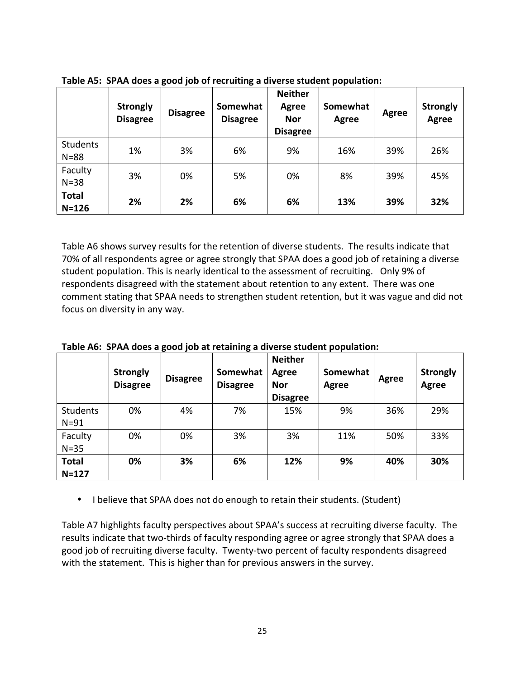|                             | <b>Strongly</b><br><b>Disagree</b> | <b>Disagree</b> | Somewhat<br><b>Disagree</b> | <b>Neither</b><br>Agree<br><b>Nor</b><br><b>Disagree</b> | Somewhat<br>Agree | Agree | <b>Strongly</b><br><b>Agree</b> |
|-----------------------------|------------------------------------|-----------------|-----------------------------|----------------------------------------------------------|-------------------|-------|---------------------------------|
| <b>Students</b><br>$N = 88$ | 1%                                 | 3%              | 6%                          | 9%                                                       | 16%               | 39%   | 26%                             |
| Faculty<br>$N = 38$         | 3%                                 | 0%              | 5%                          | 0%                                                       | 8%                | 39%   | 45%                             |
| <b>Total</b><br>$N = 126$   | 2%                                 | 2%              | 6%                          | 6%                                                       | 13%               | 39%   | 32%                             |

**Table A5: SPAA does a good job of recruiting a diverse student population:** 

Table A6 shows survey results for the retention of diverse students. The results indicate that 70% of all respondents agree or agree strongly that SPAA does a good job of retaining a diverse student population. This is nearly identical to the assessment of recruiting. Only 9% of respondents disagreed with the statement about retention to any extent. There was one comment stating that SPAA needs to strengthen student retention, but it was vague and did not focus on diversity in any way.

|                             | <b>Strongly</b><br><b>Disagree</b> | <b>Disagree</b> | Somewhat<br><b>Disagree</b> | <b>Neither</b><br><b>Agree</b><br><b>Nor</b><br><b>Disagree</b> | Somewhat<br><b>Agree</b> | Agree | <b>Strongly</b><br>Agree |
|-----------------------------|------------------------------------|-----------------|-----------------------------|-----------------------------------------------------------------|--------------------------|-------|--------------------------|
| <b>Students</b><br>$N = 91$ | 0%                                 | 4%              | 7%                          | 15%                                                             | 9%                       | 36%   | 29%                      |
| Faculty<br>$N = 35$         | 0%                                 | 0%              | 3%                          | 3%                                                              | 11%                      | 50%   | 33%                      |
| <b>Total</b><br>$N = 127$   | 0%                                 | 3%              | 6%                          | 12%                                                             | 9%                       | 40%   | 30%                      |

**Table A6: SPAA does a good job at retaining a diverse student population:** 

• I believe that SPAA does not do enough to retain their students. (Student)

Table A7 highlights faculty perspectives about SPAA's success at recruiting diverse faculty. The results indicate that two-thirds of faculty responding agree or agree strongly that SPAA does a good job of recruiting diverse faculty. Twenty-two percent of faculty respondents disagreed with the statement. This is higher than for previous answers in the survey.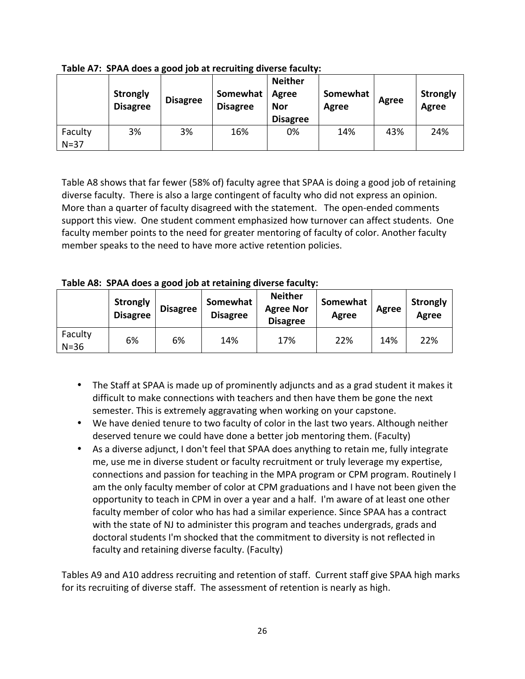|                   | <b>Strongly</b><br><b>Disagree</b> | <b>Disagree</b> | Somewhat<br><b>Disagree</b> | <b>Neither</b><br><b>Agree</b><br><b>Nor</b><br><b>Disagree</b> | Somewhat<br>Agree | Agree | <b>Strongly</b><br>Agree |
|-------------------|------------------------------------|-----------------|-----------------------------|-----------------------------------------------------------------|-------------------|-------|--------------------------|
| Faculty<br>$N=37$ | 3%                                 | 3%              | 16%                         | 0%                                                              | 14%               | 43%   | 24%                      |

Table A7: SPAA does a good job at recruiting diverse faculty:

Table A8 shows that far fewer (58% of) faculty agree that SPAA is doing a good job of retaining diverse faculty. There is also a large contingent of faculty who did not express an opinion. More than a quarter of faculty disagreed with the statement. The open-ended comments support this view. One student comment emphasized how turnover can affect students. One faculty member points to the need for greater mentoring of faculty of color. Another faculty member speaks to the need to have more active retention policies.

Table A8: SPAA does a good job at retaining diverse faculty:

|                     | Strongly<br><b>Disagree</b> | <b>Disagree</b> | Somewhat<br><b>Disagree</b> | <b>Neither</b><br><b>Agree Nor</b><br><b>Disagree</b> | Somewhat<br>Agree | Agree | <b>Strongly</b><br>Agree |
|---------------------|-----------------------------|-----------------|-----------------------------|-------------------------------------------------------|-------------------|-------|--------------------------|
| Faculty<br>$N = 36$ | 6%                          | 6%              | 14%                         | 17%                                                   | 22%               | 14%   | 22%                      |

- The Staff at SPAA is made up of prominently adjuncts and as a grad student it makes it difficult to make connections with teachers and then have them be gone the next semester. This is extremely aggravating when working on your capstone.
- We have denied tenure to two faculty of color in the last two years. Although neither deserved tenure we could have done a better job mentoring them. (Faculty)
- As a diverse adjunct, I don't feel that SPAA does anything to retain me, fully integrate me, use me in diverse student or faculty recruitment or truly leverage my expertise, connections and passion for teaching in the MPA program or CPM program. Routinely I am the only faculty member of color at CPM graduations and I have not been given the opportunity to teach in CPM in over a year and a half. I'm aware of at least one other faculty member of color who has had a similar experience. Since SPAA has a contract with the state of NJ to administer this program and teaches undergrads, grads and doctoral students I'm shocked that the commitment to diversity is not reflected in faculty and retaining diverse faculty. (Faculty)

Tables A9 and A10 address recruiting and retention of staff. Current staff give SPAA high marks for its recruiting of diverse staff. The assessment of retention is nearly as high.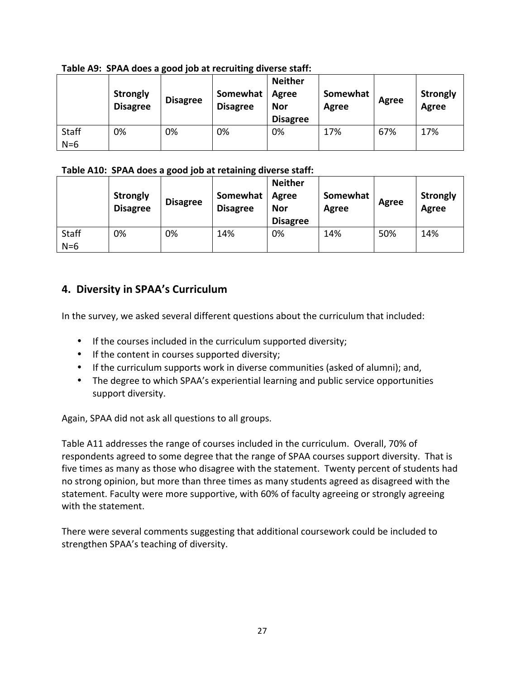|              | <b>Strongly</b><br><b>Disagree</b> | <b>Disagree</b> | Somewhat<br><b>Disagree</b> | <b>Neither</b><br>Agree<br>Nor<br><b>Disagree</b> | Somewhat<br>Agree | Agree | <b>Strongly</b><br>Agree |
|--------------|------------------------------------|-----------------|-----------------------------|---------------------------------------------------|-------------------|-------|--------------------------|
| <b>Staff</b> | 0%                                 | 0%              | 0%                          | 0%                                                | 17%               | 67%   | 17%                      |
| $N=6$        |                                    |                 |                             |                                                   |                   |       |                          |

### Table A9: SPAA does a good job at recruiting diverse staff:

### Table A10: SPAA does a good job at retaining diverse staff:

|                       | <b>Strongly</b><br><b>Disagree</b> | <b>Disagree</b> | Somewhat<br><b>Disagree</b> | <b>Neither</b><br>Agree<br><b>Nor</b><br><b>Disagree</b> | Somewhat<br>Agree | Agree | <b>Strongly</b><br><b>Agree</b> |
|-----------------------|------------------------------------|-----------------|-----------------------------|----------------------------------------------------------|-------------------|-------|---------------------------------|
| <b>Staff</b><br>$N=6$ | 0%                                 | 0%              | 14%                         | 0%                                                       | 14%               | 50%   | 14%                             |

## **4. Diversity in SPAA's Curriculum**

In the survey, we asked several different questions about the curriculum that included:

- $\bullet$  If the courses included in the curriculum supported diversity;
- $\bullet$  If the content in courses supported diversity;
- If the curriculum supports work in diverse communities (asked of alumni); and,
- The degree to which SPAA's experiential learning and public service opportunities support diversity.

Again, SPAA did not ask all questions to all groups.

Table A11 addresses the range of courses included in the curriculum. Overall, 70% of respondents agreed to some degree that the range of SPAA courses support diversity. That is five times as many as those who disagree with the statement. Twenty percent of students had no strong opinion, but more than three times as many students agreed as disagreed with the statement. Faculty were more supportive, with 60% of faculty agreeing or strongly agreeing with the statement.

There were several comments suggesting that additional coursework could be included to strengthen SPAA's teaching of diversity.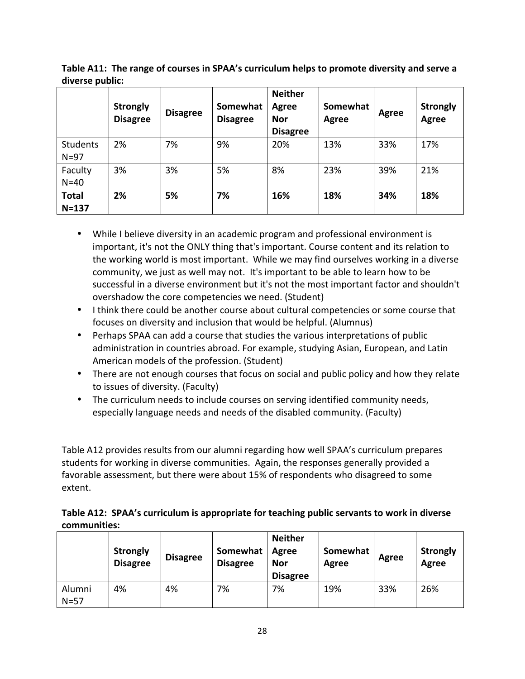|                             | <b>Strongly</b><br><b>Disagree</b> | <b>Disagree</b> | Somewhat<br><b>Disagree</b> | <b>Neither</b><br><b>Agree</b><br><b>Nor</b><br><b>Disagree</b> | Somewhat<br><b>Agree</b> | Agree | <b>Strongly</b><br>Agree |
|-----------------------------|------------------------------------|-----------------|-----------------------------|-----------------------------------------------------------------|--------------------------|-------|--------------------------|
| <b>Students</b><br>$N = 97$ | 2%                                 | 7%              | 9%                          | 20%                                                             | 13%                      | 33%   | 17%                      |
| Faculty<br>$N=40$           | 3%                                 | 3%              | 5%                          | 8%                                                              | 23%                      | 39%   | 21%                      |
| <b>Total</b><br>$N = 137$   | 2%                                 | 5%              | 7%                          | 16%                                                             | 18%                      | 34%   | 18%                      |

**Table A11: The range of courses in SPAA's curriculum helps to promote diversity and serve a** diverse public:

- While I believe diversity in an academic program and professional environment is important, it's not the ONLY thing that's important. Course content and its relation to the working world is most important. While we may find ourselves working in a diverse community, we just as well may not. It's important to be able to learn how to be successful in a diverse environment but it's not the most important factor and shouldn't overshadow the core competencies we need. (Student)
- I think there could be another course about cultural competencies or some course that focuses on diversity and inclusion that would be helpful. (Alumnus)
- Perhaps SPAA can add a course that studies the various interpretations of public administration in countries abroad. For example, studying Asian, European, and Latin American models of the profession. (Student)
- There are not enough courses that focus on social and public policy and how they relate to issues of diversity. (Faculty)
- The curriculum needs to include courses on serving identified community needs, especially language needs and needs of the disabled community. (Faculty)

Table A12 provides results from our alumni regarding how well SPAA's curriculum prepares students for working in diverse communities. Again, the responses generally provided a favorable assessment, but there were about 15% of respondents who disagreed to some extent. 

### Table A12: SPAA's curriculum is appropriate for teaching public servants to work in diverse **communities:**

|        | <b>Strongly</b><br><b>Disagree</b> | <b>Disagree</b> | Somewhat<br><b>Disagree</b> | <b>Neither</b><br>Agree<br><b>Nor</b><br><b>Disagree</b> | Somewhat<br>Agree | Agree | <b>Strongly</b><br>Agree |
|--------|------------------------------------|-----------------|-----------------------------|----------------------------------------------------------|-------------------|-------|--------------------------|
| Alumni | 4%                                 | 4%              | 7%                          | 7%                                                       | 19%               | 33%   | 26%                      |
| $N=57$ |                                    |                 |                             |                                                          |                   |       |                          |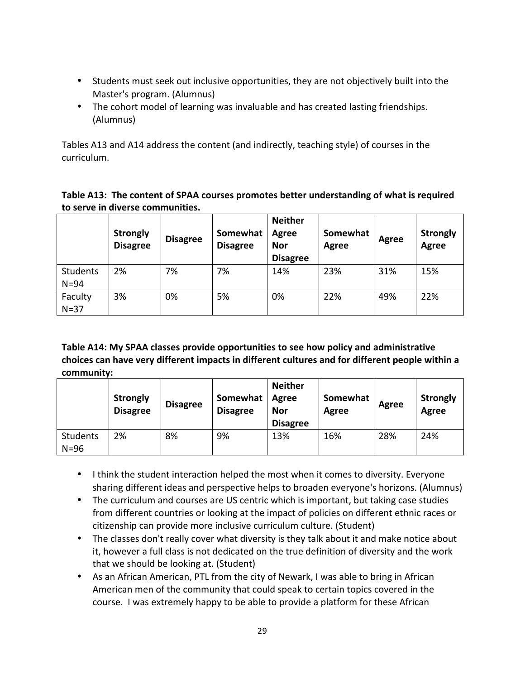- Students must seek out inclusive opportunities, they are not objectively built into the Master's program. (Alumnus)
- The cohort model of learning was invaluable and has created lasting friendships. (Alumnus)

Tables A13 and A14 address the content (and indirectly, teaching style) of courses in the curriculum. 

| Table A13: The content of SPAA courses promotes better understanding of what is required |
|------------------------------------------------------------------------------------------|
| to serve in diverse communities.                                                         |

|                      | <b>Strongly</b><br><b>Disagree</b> | <b>Disagree</b> | Somewhat<br><b>Disagree</b> | <b>Neither</b><br><b>Agree</b><br><b>Nor</b><br><b>Disagree</b> | Somewhat<br>Agree | Agree | <b>Strongly</b><br>Agree |
|----------------------|------------------------------------|-----------------|-----------------------------|-----------------------------------------------------------------|-------------------|-------|--------------------------|
| Students<br>$N = 94$ | 2%                                 | 7%              | 7%                          | 14%                                                             | 23%               | 31%   | 15%                      |
| Faculty<br>$N=37$    | 3%                                 | 0%              | 5%                          | 0%                                                              | 22%               | 49%   | 22%                      |

Table A14: My SPAA classes provide opportunities to see how policy and administrative choices can have very different impacts in different cultures and for different people within a **community:** 

|                      | <b>Strongly</b><br><b>Disagree</b> | <b>Disagree</b> | Somewhat<br><b>Disagree</b> | <b>Neither</b><br>Agree<br><b>Nor</b><br><b>Disagree</b> | Somewhat<br>Agree | Agree | <b>Strongly</b><br>Agree |
|----------------------|------------------------------------|-----------------|-----------------------------|----------------------------------------------------------|-------------------|-------|--------------------------|
| Students<br>$N = 96$ | 2%                                 | 8%              | 9%                          | 13%                                                      | 16%               | 28%   | 24%                      |

- I think the student interaction helped the most when it comes to diversity. Everyone sharing different ideas and perspective helps to broaden everyone's horizons. (Alumnus)
- The curriculum and courses are US centric which is important, but taking case studies from different countries or looking at the impact of policies on different ethnic races or citizenship can provide more inclusive curriculum culture. (Student)
- The classes don't really cover what diversity is they talk about it and make notice about it, however a full class is not dedicated on the true definition of diversity and the work that we should be looking at. (Student)
- As an African American, PTL from the city of Newark, I was able to bring in African American men of the community that could speak to certain topics covered in the course. I was extremely happy to be able to provide a platform for these African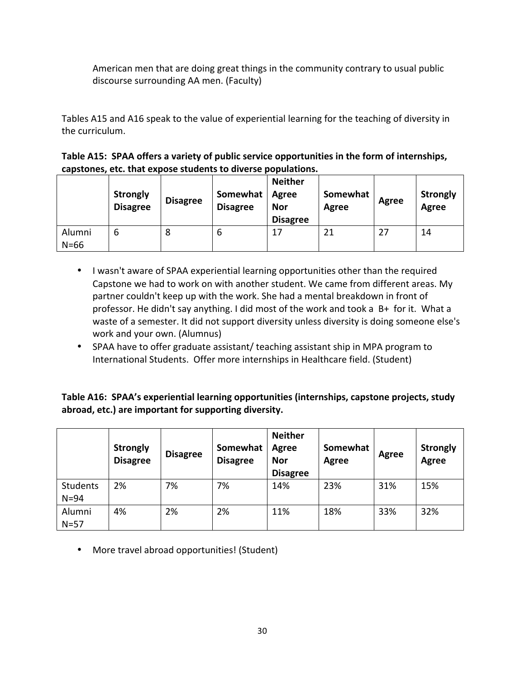American men that are doing great things in the community contrary to usual public discourse surrounding AA men. (Faculty)

Tables A15 and A16 speak to the value of experiential learning for the teaching of diversity in the curriculum.

| Table A15: SPAA offers a variety of public service opportunities in the form of internships, |
|----------------------------------------------------------------------------------------------|
| capstones, etc. that expose students to diverse populations.                                 |

|                  | <b>Strongly</b><br><b>Disagree</b> | <b>Disagree</b> | Somewhat<br><b>Disagree</b> | <b>Neither</b><br>Agree<br><b>Nor</b><br><b>Disagree</b> | Somewhat<br>Agree | Agree | <b>Strongly</b><br>Agree |
|------------------|------------------------------------|-----------------|-----------------------------|----------------------------------------------------------|-------------------|-------|--------------------------|
| Alumni<br>$N=66$ | b                                  | 8               | b                           | 17                                                       | 21                | 27    | 14                       |

- I wasn't aware of SPAA experiential learning opportunities other than the required Capstone we had to work on with another student. We came from different areas. My partner couldn't keep up with the work. She had a mental breakdown in front of professor. He didn't say anything. I did most of the work and took a  $B+$  for it. What a waste of a semester. It did not support diversity unless diversity is doing someone else's work and your own. (Alumnus)
- SPAA have to offer graduate assistant/ teaching assistant ship in MPA program to International Students. Offer more internships in Healthcare field. (Student)

Table A16: SPAA's experiential learning opportunities (internships, capstone projects, study abroad, etc.) are important for supporting diversity.

|                      | <b>Strongly</b><br><b>Disagree</b> | <b>Disagree</b> | Somewhat<br><b>Disagree</b> | <b>Neither</b><br><b>Agree</b><br><b>Nor</b><br><b>Disagree</b> | Somewhat<br>Agree | Agree | <b>Strongly</b><br>Agree |
|----------------------|------------------------------------|-----------------|-----------------------------|-----------------------------------------------------------------|-------------------|-------|--------------------------|
| Students<br>$N = 94$ | 2%                                 | 7%              | 7%                          | 14%                                                             | 23%               | 31%   | 15%                      |
| Alumni<br>$N=57$     | 4%                                 | 2%              | 2%                          | 11%                                                             | 18%               | 33%   | 32%                      |

• More travel abroad opportunities! (Student)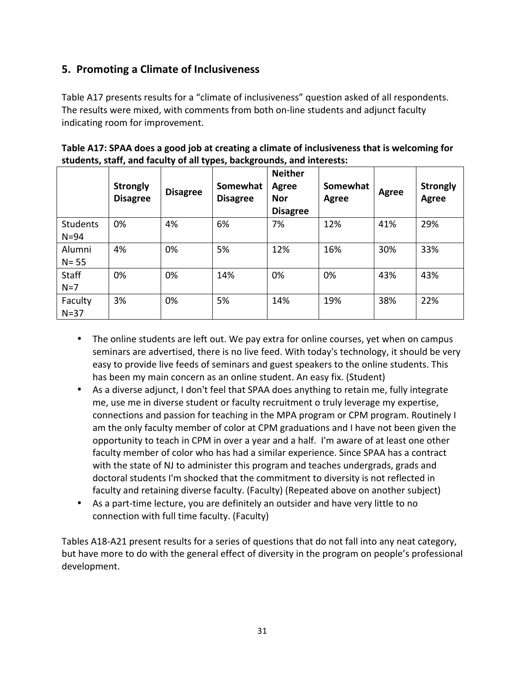## **5. Promoting a Climate of Inclusiveness**

Table A17 presents results for a "climate of inclusiveness" question asked of all respondents. The results were mixed, with comments from both on-line students and adjunct faculty indicating room for improvement.

|                       | <b>Strongly</b><br><b>Disagree</b> | <b>Disagree</b> | Somewhat<br><b>Disagree</b> | <b>Neither</b><br>Agree<br><b>Nor</b><br><b>Disagree</b> | Somewhat<br>Agree | <b>Agree</b> | <b>Strongly</b><br>Agree |
|-----------------------|------------------------------------|-----------------|-----------------------------|----------------------------------------------------------|-------------------|--------------|--------------------------|
| Students<br>$N = 94$  | 0%                                 | 4%              | 6%                          | 7%                                                       | 12%               | 41%          | 29%                      |
| Alumni<br>$N = 55$    | 4%                                 | 0%              | 5%                          | 12%                                                      | 16%               | 30%          | 33%                      |
| <b>Staff</b><br>$N=7$ | 0%                                 | 0%              | 14%                         | 0%                                                       | 0%                | 43%          | 43%                      |
| Faculty<br>$N=37$     | 3%                                 | 0%              | 5%                          | 14%                                                      | 19%               | 38%          | 22%                      |

Table A17: SPAA does a good job at creating a climate of inclusiveness that is welcoming for students, staff, and faculty of all types, backgrounds, and interests:

- The online students are left out. We pay extra for online courses, yet when on campus seminars are advertised, there is no live feed. With today's technology, it should be very easy to provide live feeds of seminars and guest speakers to the online students. This has been my main concern as an online student. An easy fix. (Student)
- As a diverse adjunct, I don't feel that SPAA does anything to retain me, fully integrate me, use me in diverse student or faculty recruitment o truly leverage my expertise, connections and passion for teaching in the MPA program or CPM program. Routinely  $\Gamma$ am the only faculty member of color at CPM graduations and I have not been given the opportunity to teach in CPM in over a year and a half. I'm aware of at least one other faculty member of color who has had a similar experience. Since SPAA has a contract with the state of NJ to administer this program and teaches undergrads, grads and doctoral students I'm shocked that the commitment to diversity is not reflected in faculty and retaining diverse faculty. (Faculty) (Repeated above on another subject)
- As a part-time lecture, you are definitely an outsider and have very little to no connection with full time faculty. (Faculty)

Tables A18-A21 present results for a series of questions that do not fall into any neat category, but have more to do with the general effect of diversity in the program on people's professional development.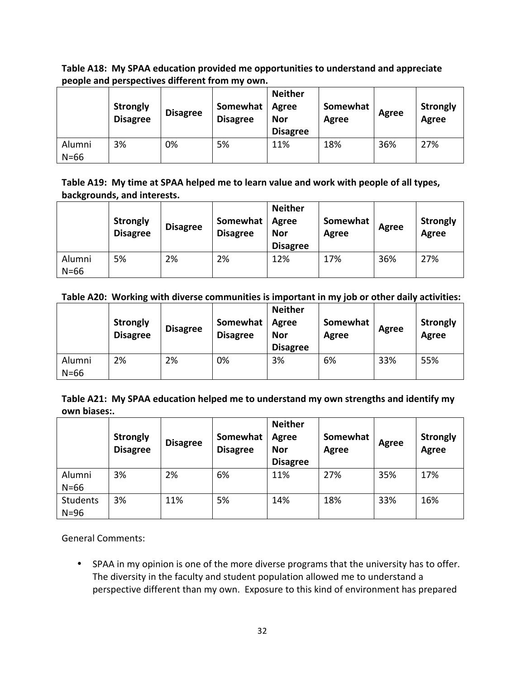Table A18: My SPAA education provided me opportunities to understand and appreciate people and perspectives different from my own.

|                  | <b>Strongly</b><br><b>Disagree</b> | <b>Disagree</b> | Somewhat<br><b>Disagree</b> | <b>Neither</b><br>Agree<br><b>Nor</b><br><b>Disagree</b> | Somewhat<br>Agree | Agree | <b>Strongly</b><br>Agree |
|------------------|------------------------------------|-----------------|-----------------------------|----------------------------------------------------------|-------------------|-------|--------------------------|
| Alumni<br>$N=66$ | 3%                                 | 0%              | 5%                          | 11%                                                      | 18%               | 36%   | 27%                      |

Table A19: My time at SPAA helped me to learn value and work with people of all types, backgrounds, and interests.

|                  | <b>Strongly</b><br><b>Disagree</b> | <b>Disagree</b> | Somewhat<br><b>Disagree</b> | <b>Neither</b><br>Agree<br><b>Nor</b><br><b>Disagree</b> | Somewhat<br>Agree | Agree | <b>Strongly</b><br>Agree |
|------------------|------------------------------------|-----------------|-----------------------------|----------------------------------------------------------|-------------------|-------|--------------------------|
| Alumni<br>$N=66$ | 5%                                 | 2%              | 2%                          | 12%                                                      | 17%               | 36%   | 27%                      |

|                  | <b>Strongly</b><br><b>Disagree</b> | <b>Disagree</b> | Somewhat<br><b>Disagree</b> | <b>Neither</b><br>Agree<br>Nor<br><b>Disagree</b> | Somewhat<br>Agree | Agree | <b>Strongly</b><br>Agree |
|------------------|------------------------------------|-----------------|-----------------------------|---------------------------------------------------|-------------------|-------|--------------------------|
| Alumni<br>$N=66$ | 2%                                 | 2%              | 0%                          | 3%                                                | 6%                | 33%   | 55%                      |

Table A21: My SPAA education helped me to understand my own strengths and identify my **own biases:.**

|                      | <b>Strongly</b><br><b>Disagree</b> | <b>Disagree</b> | Somewhat<br><b>Disagree</b> | <b>Neither</b><br><b>Agree</b><br><b>Nor</b><br><b>Disagree</b> | Somewhat<br>Agree | Agree | <b>Strongly</b><br>Agree |
|----------------------|------------------------------------|-----------------|-----------------------------|-----------------------------------------------------------------|-------------------|-------|--------------------------|
| Alumni<br>$N=66$     | 3%                                 | 2%              | 6%                          | 11%                                                             | 27%               | 35%   | 17%                      |
| Students<br>$N = 96$ | 3%                                 | 11%             | 5%                          | 14%                                                             | 18%               | 33%   | 16%                      |

General Comments:

• SPAA in my opinion is one of the more diverse programs that the university has to offer. The diversity in the faculty and student population allowed me to understand a perspective different than my own. Exposure to this kind of environment has prepared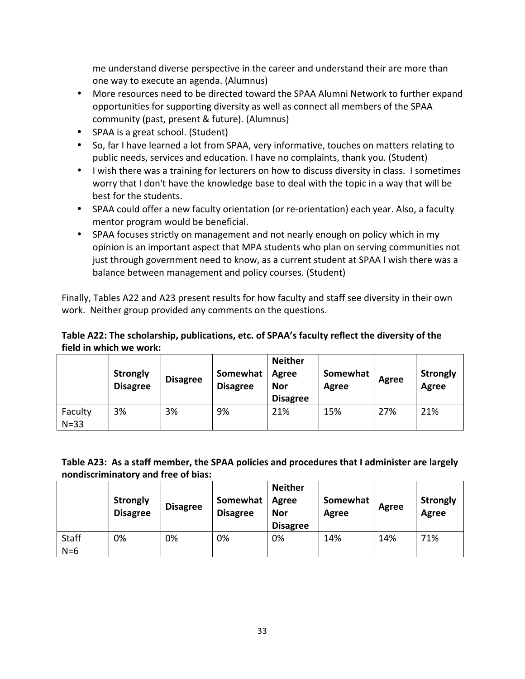me understand diverse perspective in the career and understand their are more than one way to execute an agenda. (Alumnus)

- More resources need to be directed toward the SPAA Alumni Network to further expand opportunities for supporting diversity as well as connect all members of the SPAA community (past, present & future). (Alumnus)
- SPAA is a great school. (Student)
- So, far I have learned a lot from SPAA, very informative, touches on matters relating to public needs, services and education. I have no complaints, thank you. (Student)
- I wish there was a training for lecturers on how to discuss diversity in class. I sometimes worry that I don't have the knowledge base to deal with the topic in a way that will be best for the students.
- SPAA could offer a new faculty orientation (or re-orientation) each year. Also, a faculty mentor program would be beneficial.
- SPAA focuses strictly on management and not nearly enough on policy which in my opinion is an important aspect that MPA students who plan on serving communities not just through government need to know, as a current student at SPAA I wish there was a balance between management and policy courses. (Student)

Finally, Tables A22 and A23 present results for how faculty and staff see diversity in their own work. Neither group provided any comments on the questions.

### Table A22: The scholarship, publications, etc. of SPAA's faculty reflect the diversity of the field in which we work:

|                     | <b>Strongly</b><br><b>Disagree</b> | <b>Disagree</b> | Somewhat<br><b>Disagree</b> | <b>Neither</b><br><b>Agree</b><br><b>Nor</b><br><b>Disagree</b> | Somewhat<br>Agree | Agree | <b>Strongly</b><br>Agree |
|---------------------|------------------------------------|-----------------|-----------------------------|-----------------------------------------------------------------|-------------------|-------|--------------------------|
| Faculty<br>$N = 33$ | 3%                                 | 3%              | 9%                          | 21%                                                             | 15%               | 27%   | 21%                      |

### Table A23: As a staff member, the SPAA policies and procedures that I administer are largely **nondiscriminatory and free of bias:**

|                       | <b>Strongly</b><br><b>Disagree</b> | <b>Disagree</b> | Somewhat<br><b>Disagree</b> | <b>Neither</b><br>Agree<br><b>Nor</b><br><b>Disagree</b> | Somewhat<br>Agree | Agree | <b>Strongly</b><br>Agree |
|-----------------------|------------------------------------|-----------------|-----------------------------|----------------------------------------------------------|-------------------|-------|--------------------------|
| <b>Staff</b><br>$N=6$ | 0%                                 | 0%              | 0%                          | 0%                                                       | 14%               | 14%   | 71%                      |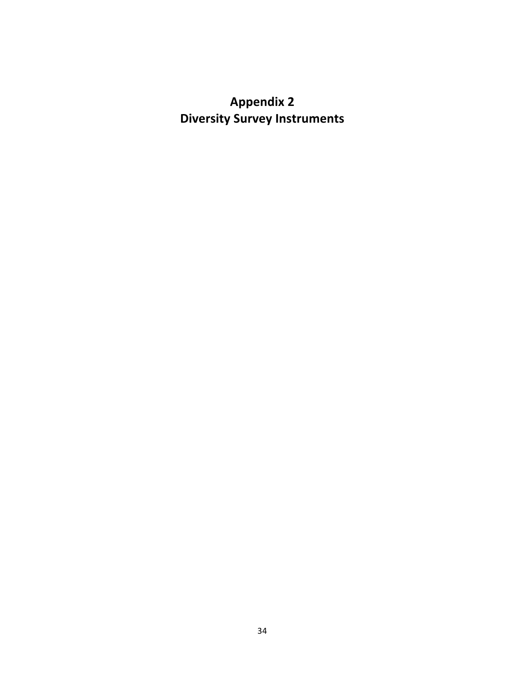# **Appendix 2 Diversity Survey Instruments**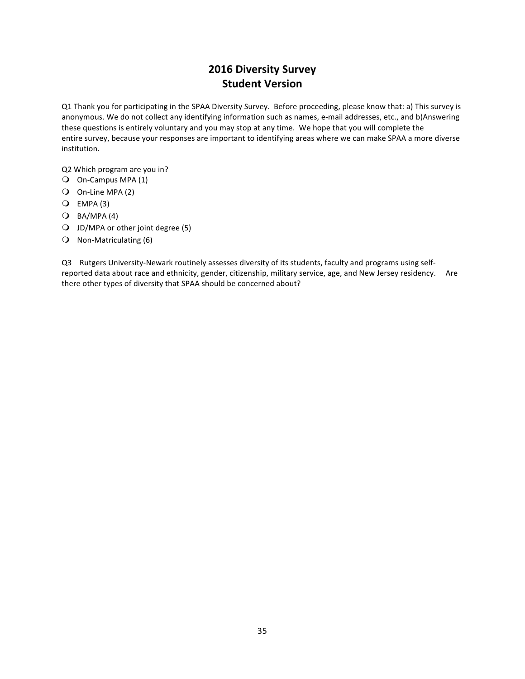## **2016 Diversity Survey Student Version**

Q1 Thank you for participating in the SPAA Diversity Survey. Before proceeding, please know that: a) This survey is anonymous. We do not collect any identifying information such as names, e-mail addresses, etc., and b)Answering these questions is entirely voluntary and you may stop at any time. We hope that you will complete the entire survey, because your responses are important to identifying areas where we can make SPAA a more diverse institution.

Q2 Which program are you in?

- O On-Campus MPA (1)
- $\bigcirc$  On-Line MPA (2)
- $Q$  EMPA (3)
- $O$  BA/MPA $(4)$
- $\bigcirc$  JD/MPA or other joint degree (5)
- $\bigcirc$  Non-Matriculating (6)

Q3 Rutgers University-Newark routinely assesses diversity of its students, faculty and programs using selfreported data about race and ethnicity, gender, citizenship, military service, age, and New Jersey residency. Are there other types of diversity that SPAA should be concerned about?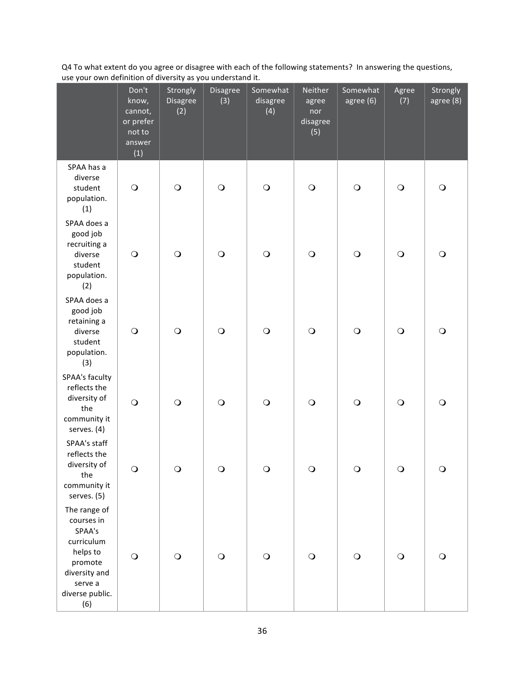Q4 To what extent do you agree or disagree with each of the following statements? In answering the questions, use your own definition of diversity as you understand it.

|                                                                                                                                 | Don't<br>know,<br>cannot,<br>or prefer<br>not to<br>answer<br>(1) | Strongly<br>Disagree<br>(2) | Disagree<br>(3) | Somewhat<br>disagree<br>(4) | Neither<br>agree<br>nor<br>disagree<br>(5) | Somewhat<br>agree (6) | Agree<br>(7)          | Strongly<br>agree (8) |
|---------------------------------------------------------------------------------------------------------------------------------|-------------------------------------------------------------------|-----------------------------|-----------------|-----------------------------|--------------------------------------------|-----------------------|-----------------------|-----------------------|
| SPAA has a<br>diverse<br>student<br>population.<br>(1)                                                                          | $\circ$                                                           | $\bigcirc$                  | $\bigcirc$      | $\bigcirc$                  | $\circ$                                    | $\bigcirc$            | $\bigcirc$            | $\bigcirc$            |
| SPAA does a<br>good job<br>recruiting a<br>diverse<br>student<br>population.<br>(2)                                             | $\circ$                                                           | $\bigcirc$                  | $\bigcirc$      | $\bigcirc$                  | $\circ$                                    | $\bigcirc$            | $\bigcirc$            | $\bigcirc$            |
| SPAA does a<br>good job<br>retaining a<br>diverse<br>student<br>population.<br>(3)                                              | $\circ$                                                           | $\bigcirc$                  | $\bigcirc$      | $\bigcirc$                  | $\circ$                                    | $\bigcirc$            | $\bigcirc$            | $\bigcirc$            |
| SPAA's faculty<br>reflects the<br>diversity of<br>the<br>community it<br>serves. (4)                                            | $\bigcirc$                                                        | $\bigcirc$                  | $\bigcirc$      | $\bigcirc$                  | $\circ$                                    | $\bigcirc$            | $\bigcirc$            | $\bigcirc$            |
| SPAA's staff<br>reflects the<br>diversity of<br>the<br>community it<br>serves. (5)                                              | $\circ$                                                           | $\mathsf{C}$                | $\mathbf\Omega$ | Ő                           | $\cup$                                     |                       | $\mathbf{\mathsf{C}}$ | Ő                     |
| The range of<br>courses in<br>SPAA's<br>curriculum<br>helps to<br>promote<br>diversity and<br>serve a<br>diverse public.<br>(6) | $\bigcirc$                                                        | $\bigcirc$                  | $\bigcirc$      | $\bigcirc$                  | $\circ$                                    | $\bigcirc$            | $\bigcirc$            | $\circ$               |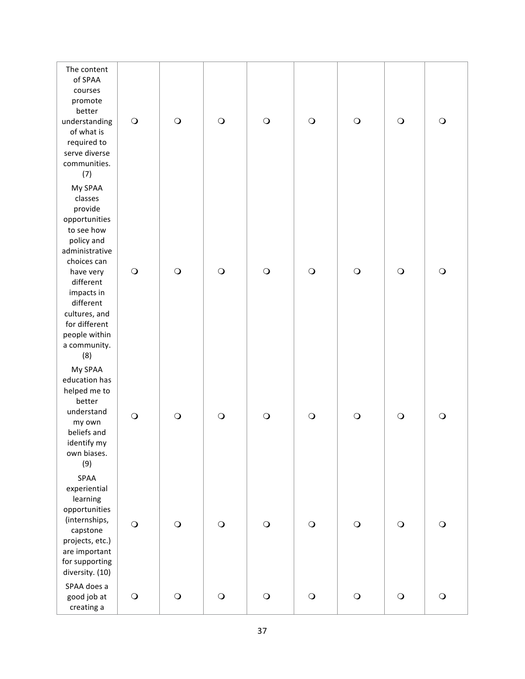| The content<br>of SPAA<br>courses<br>promote<br>better<br>understanding<br>of what is<br>required to<br>serve diverse<br>communities.<br>(7)                                                                                               | $\bigcirc$ | $\bigcirc$  | $\bigcirc$ | $\circ$    | $\bigcirc$ | $\bigcirc$ | $\bigcirc$ | $\bigcirc$ |
|--------------------------------------------------------------------------------------------------------------------------------------------------------------------------------------------------------------------------------------------|------------|-------------|------------|------------|------------|------------|------------|------------|
| My SPAA<br>classes<br>provide<br>opportunities<br>to see how<br>policy and<br>administrative<br>choices can<br>have very<br>different<br>impacts in<br>different<br>cultures, and<br>for different<br>people within<br>a community.<br>(8) | $\bigcirc$ | $\bigcirc$  | $\bigcirc$ | $\circ$    | $\bigcirc$ | $\bigcirc$ | $\bigcirc$ | $\bigcirc$ |
| My SPAA<br>education has<br>helped me to<br>better<br>understand<br>my own<br>beliefs and<br>identify my<br>own biases.<br>(9)                                                                                                             | $\bigcirc$ | $\bigcirc$  | $\bigcirc$ | $\bigcirc$ | $\bigcirc$ | $\bigcirc$ | $\bigcirc$ | $\circ$    |
| SPAA<br>experiential<br>learning<br>opportunities<br>(internships,<br>capstone<br>projects, etc.)<br>are important<br>for supporting<br>diversity. (10)                                                                                    | $\bigcirc$ | $\bigcirc$  | $\bigcirc$ | $\circ$    | $\bigcirc$ | $\bigcirc$ | $\bigcirc$ | $\bigcirc$ |
| SPAA does a<br>good job at<br>creating a                                                                                                                                                                                                   | $\bigcirc$ | $\mathbf O$ | $\bigcirc$ | $\circ$    | $\bigcirc$ | $\bigcirc$ | $\bigcirc$ | $\bigcirc$ |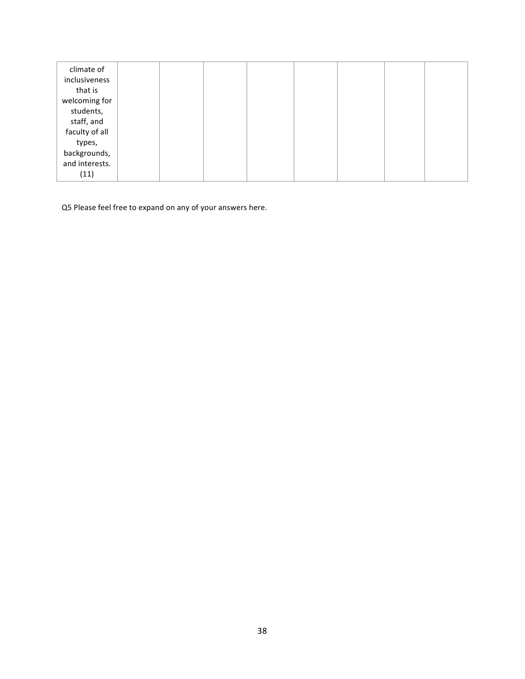| climate of<br>inclusiveness<br>that is<br>welcoming for<br>students,<br>staff, and<br>faculty of all<br>types, |  |  |  |  |
|----------------------------------------------------------------------------------------------------------------|--|--|--|--|
| backgrounds,                                                                                                   |  |  |  |  |
| and interests.<br>(11)                                                                                         |  |  |  |  |

Q5 Please feel free to expand on any of your answers here.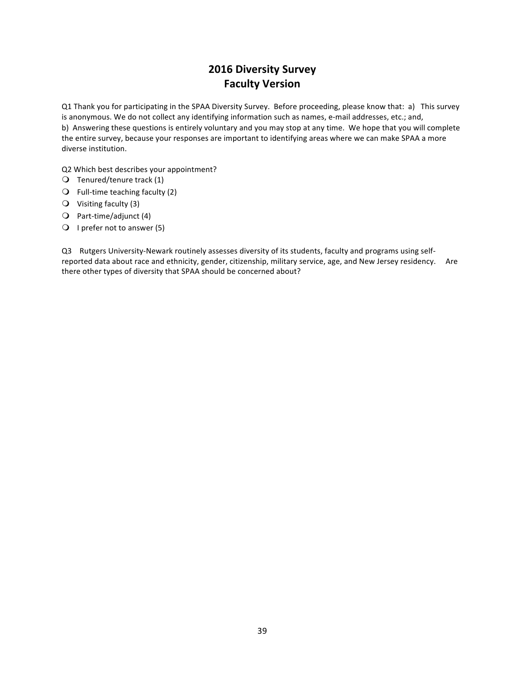## **2016 Diversity Survey Faculty Version**

Q1 Thank you for participating in the SPAA Diversity Survey. Before proceeding, please know that: a) This survey is anonymous. We do not collect any identifying information such as names, e-mail addresses, etc.; and, b) Answering these questions is entirely voluntary and you may stop at any time. We hope that you will complete the entire survey, because your responses are important to identifying areas where we can make SPAA a more diverse institution.

Q2 Which best describes your appointment?

- $\bigcirc$  Tenured/tenure track (1)
- $\bigcirc$  Full-time teaching faculty (2)
- $\bigcirc$  Visiting faculty (3)
- $\bigcirc$  Part-time/adjunct (4)
- $\bigcirc$  I prefer not to answer (5)

Q3 Rutgers University-Newark routinely assesses diversity of its students, faculty and programs using selfreported data about race and ethnicity, gender, citizenship, military service, age, and New Jersey residency. Are there other types of diversity that SPAA should be concerned about?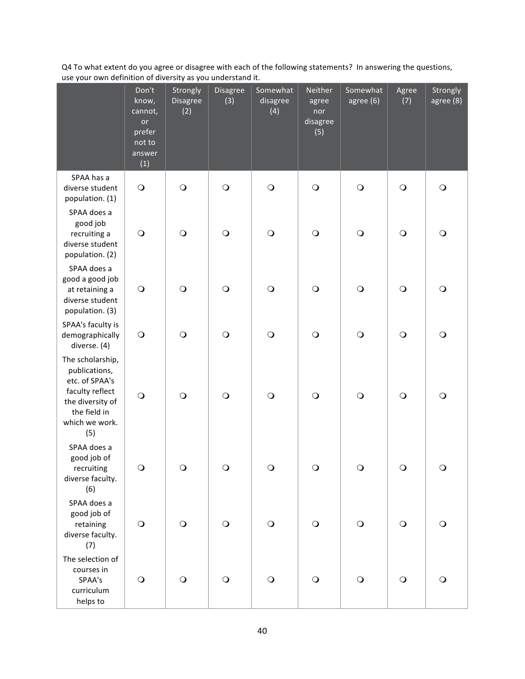Q4 To what extent do you agree or disagree with each of the following statements? In answering the questions, use your own definition of diversity as you understand it.

|                                                                                                                                     | Don't<br>know,<br>cannot,<br>or<br>prefer<br>not to<br>answer<br>(1) | Strongly<br>Disagree<br>(2) | Disagree<br>(3) | Somewhat<br>disagree<br>(4) | Neither<br>agree<br>nor<br>disagree<br>(5) | Somewhat<br>agree (6) | Agree<br>(7) | Strongly<br>agree (8) |
|-------------------------------------------------------------------------------------------------------------------------------------|----------------------------------------------------------------------|-----------------------------|-----------------|-----------------------------|--------------------------------------------|-----------------------|--------------|-----------------------|
| SPAA has a<br>diverse student<br>population. (1)                                                                                    | $\bigcirc$                                                           | $\bigcirc$                  | $\bigcirc$      | $\bigcirc$                  | $\bigcirc$                                 | $\bigcirc$            | $\bigcirc$   | $\bigcirc$            |
| SPAA does a<br>good job<br>recruiting a<br>diverse student<br>population. (2)                                                       | $\bigcirc$                                                           | $\bigcirc$                  | $\bigcirc$      | $\bigcirc$                  | $\bigcirc$                                 | $\bigcirc$            | $\bigcirc$   | $\circ$               |
| SPAA does a<br>good a good job<br>at retaining a<br>diverse student<br>population. (3)                                              | $\bigcirc$                                                           | $\bigcirc$                  | $\bigcirc$      | $\bigcirc$                  | $\bigcirc$                                 | $\bigcirc$            | $\bigcirc$   | $\bigcirc$            |
| SPAA's faculty is<br>demographically<br>diverse. (4)                                                                                | $\bigcirc$                                                           | $\bigcirc$                  | $\bigcirc$      | $\bigcirc$                  | $\bigcirc$                                 | $\bigcirc$            | $\bigcirc$   | $\bigcirc$            |
| The scholarship,<br>publications,<br>etc. of SPAA's<br>faculty reflect<br>the diversity of<br>the field in<br>which we work.<br>(5) | $\bigcirc$                                                           | $\bigcirc$                  | $\bigcirc$      | $\bigcirc$                  | $\bigcirc$                                 | $\bigcirc$            | $\bigcirc$   | $\bigcirc$            |
| SPAA does a<br>good job of<br>recruiting<br>diverse faculty.<br>(6)                                                                 | $\bigcirc$                                                           | $\Omega$                    | ∩               | $\Omega$                    | $\Omega$                                   | $\Omega$              | $\Omega$     | ∩                     |
| SPAA does a<br>good job of<br>retaining<br>diverse faculty.<br>(7)                                                                  | $\bigcirc$                                                           | $\bigcirc$                  | $\bigcirc$      | $\bigcirc$                  | $\bigcirc$                                 | $\bigcirc$            | $\circ$      | $\bigcirc$            |
| The selection of<br>courses in<br>SPAA's<br>curriculum<br>helps to                                                                  | $\bigcirc$                                                           | $\bigcirc$                  | $\bigcirc$      | $\bigcirc$                  | $\bigcirc$                                 | $\bigcirc$            | $\circ$      | $\circ$               |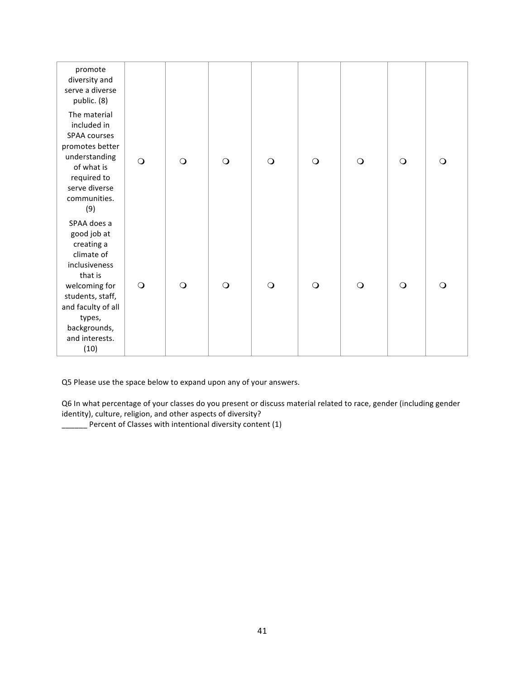| promote<br>diversity and<br>serve a diverse<br>public. (8)                                                                                                                                        |            |          |         |          |          |         |          |          |
|---------------------------------------------------------------------------------------------------------------------------------------------------------------------------------------------------|------------|----------|---------|----------|----------|---------|----------|----------|
| The material<br>included in<br>SPAA courses<br>promotes better<br>understanding<br>of what is<br>required to<br>serve diverse<br>communities.<br>(9)                                              | $\circ$    | $\circ$  | $\circ$ | $\circ$  | $\circ$  | $\circ$ | $\circ$  | $\Omega$ |
| SPAA does a<br>good job at<br>creating a<br>climate of<br>inclusiveness<br>that is<br>welcoming for<br>students, staff,<br>and faculty of all<br>types,<br>backgrounds,<br>and interests.<br>(10) | $\bigcirc$ | $\Omega$ | $\circ$ | $\Omega$ | $\Omega$ | $\circ$ | $\Omega$ | $\circ$  |

Q5 Please use the space below to expand upon any of your answers.

Q6 In what percentage of your classes do you present or discuss material related to race, gender (including gender identity), culture, religion, and other aspects of diversity?

\_\_\_\_\_\_ Percent of Classes with intentional diversity content (1)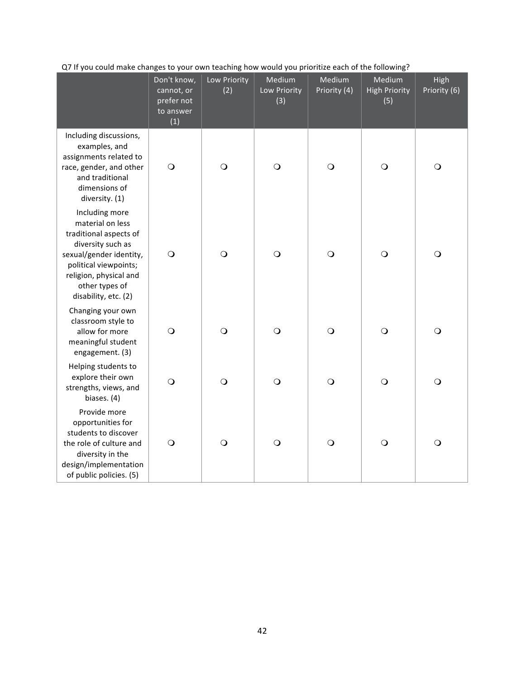|                                                                                                                                                                                                           | Don't know,<br>cannot, or<br>prefer not<br>to answer<br>(1) | Low Priority<br>(2) | Medium<br>Low Priority<br>(3) | Medium<br>Priority (4) | Medium<br><b>High Priority</b><br>(5) | High<br>Priority (6) |
|-----------------------------------------------------------------------------------------------------------------------------------------------------------------------------------------------------------|-------------------------------------------------------------|---------------------|-------------------------------|------------------------|---------------------------------------|----------------------|
| Including discussions,<br>examples, and<br>assignments related to<br>race, gender, and other<br>and traditional<br>dimensions of<br>diversity. (1)                                                        | $\bigcirc$                                                  | $\bigcirc$          | $\bigcirc$                    | $\bigcirc$             | $\bigcirc$                            | $\circ$              |
| Including more<br>material on less<br>traditional aspects of<br>diversity such as<br>sexual/gender identity,<br>political viewpoints;<br>religion, physical and<br>other types of<br>disability, etc. (2) | $\bigcirc$                                                  | $\bigcirc$          | $\circ$                       | $\bigcirc$             | $\bigcirc$                            | $\circ$              |
| Changing your own<br>classroom style to<br>allow for more<br>meaningful student<br>engagement. (3)                                                                                                        | $\circ$                                                     | $\bigcirc$          | $\circ$                       | $\bigcirc$             | $\bigcirc$                            | $\circ$              |
| Helping students to<br>explore their own<br>strengths, views, and<br>biases. (4)                                                                                                                          | $\circ$                                                     | $\circ$             | $\circ$                       | $\bigcirc$             | $\bigcirc$                            | $\circ$              |
| Provide more<br>opportunities for<br>students to discover<br>the role of culture and<br>diversity in the<br>design/implementation<br>of public policies. (5)                                              | $\bigcirc$                                                  | $\circ$             | $\circ$                       | $\bigcirc$             | $\bigcirc$                            | $\circ$              |

#### Q7 If you could make changes to your own teaching how would you prioritize each of the following?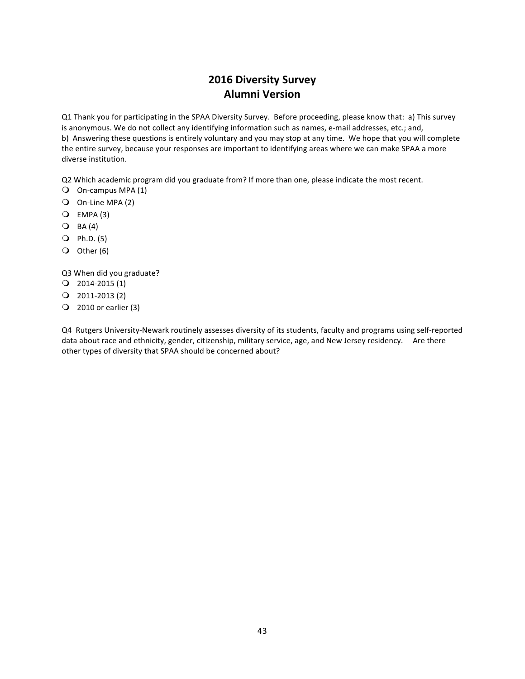## **2016 Diversity Survey Alumni Version**

Q1 Thank you for participating in the SPAA Diversity Survey. Before proceeding, please know that: a) This survey is anonymous. We do not collect any identifying information such as names, e-mail addresses, etc.; and, b) Answering these questions is entirely voluntary and you may stop at any time. We hope that you will complete the entire survey, because your responses are important to identifying areas where we can make SPAA a more diverse institution.

Q2 Which academic program did you graduate from? If more than one, please indicate the most recent.

- $\bigcirc$  On-campus MPA (1)
- $\bigcirc$  On-Line MPA (2)
- $Q$  EMPA (3)
- $O$  BA(4)
- $Q$  Ph.D. (5)
- $\overline{O}$  Other (6)

Q3 When did you graduate?

- $Q$  2014-2015 $(1)$
- $Q$  2011-2013 $(2)$
- $\bigcirc$  2010 or earlier (3)

Q4 Rutgers University-Newark routinely assesses diversity of its students, faculty and programs using self-reported data about race and ethnicity, gender, citizenship, military service, age, and New Jersey residency. Are there other types of diversity that SPAA should be concerned about?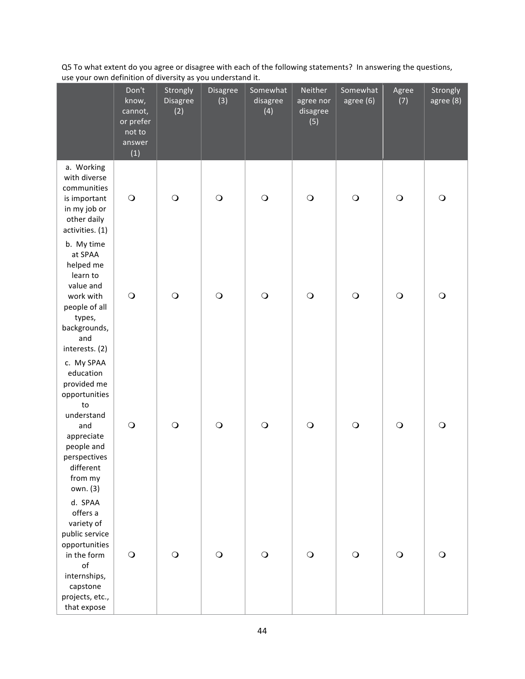Q5 To what extent do you agree or disagree with each of the following statements? In answering the questions, use your own definition of diversity as you understand it.

|                                                                                                                                                                    | Don't<br>know,<br>cannot,<br>or prefer<br>not to<br>answer<br>(1) | Strongly<br>Disagree<br>(2) | Disagree<br>(3) | Somewhat<br>disagree<br>(4) | Neither<br>agree nor<br>disagree<br>(5) | Somewhat<br>agree (6) | Agree<br>(7) | Strongly<br>agree (8) |
|--------------------------------------------------------------------------------------------------------------------------------------------------------------------|-------------------------------------------------------------------|-----------------------------|-----------------|-----------------------------|-----------------------------------------|-----------------------|--------------|-----------------------|
| a. Working<br>with diverse<br>communities<br>is important<br>in my job or<br>other daily<br>activities. (1)                                                        | $\bigcirc$                                                        | $\bigcirc$                  | $\bigcirc$      | $\bigcirc$                  | $\bigcirc$                              | $\bigcirc$            | $\bigcirc$   | $\circ$               |
| b. My time<br>at SPAA<br>helped me<br>learn to<br>value and<br>work with<br>people of all<br>types,<br>backgrounds,<br>and<br>interests. (2)                       | $\bigcirc$                                                        | $\bigcirc$                  | $\bigcirc$      | $\bigcirc$                  | $\bigcirc$                              | $\bigcirc$            | $\bigcirc$   | $\bigcirc$            |
| c. My SPAA<br>education<br>provided me<br>opportunities<br>to<br>understand<br>and<br>appreciate<br>people and<br>perspectives<br>different<br>from my<br>own. (3) | $\bigcirc$                                                        | $\bigcirc$                  | $\bigcirc$      | $\bigcirc$                  | $\bigcirc$                              | $\bigcirc$            | $\bigcirc$   | $\bigcirc$            |
| d. SPAA<br>offers a<br>variety of<br>public service<br>opportunities<br>in the form<br>of<br>internships,<br>capstone<br>projects, etc.,<br>that expose            | $\bigcirc$                                                        | $\bigcirc$                  | $\bigcirc$      | $\bigcirc$                  | $\bigcirc$                              | $\bigcirc$            | $\bigcirc$   | $\circ$               |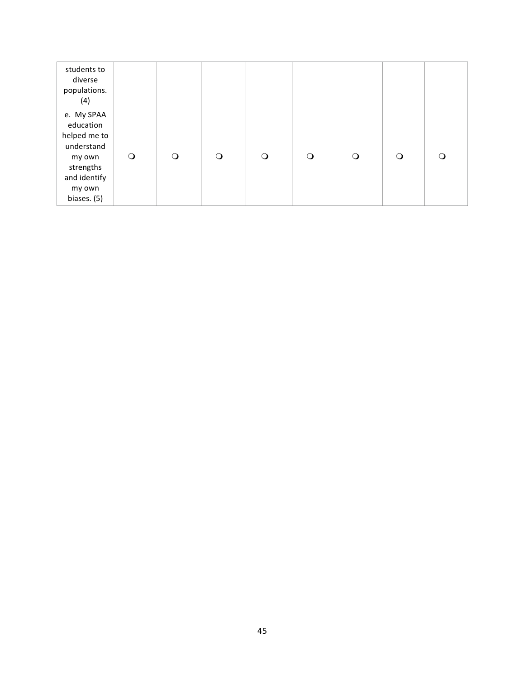| students to<br>diverse<br>populations.<br>(4)                   |         |          |          |         |         |         |         |         |
|-----------------------------------------------------------------|---------|----------|----------|---------|---------|---------|---------|---------|
| e. My SPAA<br>education<br>helped me to<br>understand<br>my own | $\circ$ | $\Omega$ | $\Omega$ | $\circ$ | $\circ$ | $\circ$ | $\circ$ | $\circ$ |
| strengths<br>and identify<br>my own<br>biases. (5)              |         |          |          |         |         |         |         |         |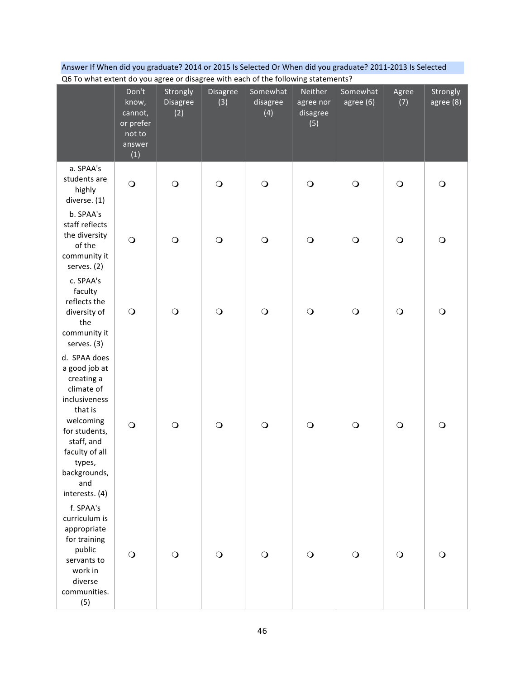| Answer If When did you graduate? 2014 or 2015 Is Selected Or When did you graduate? 2011-2013 Is Selected |
|-----------------------------------------------------------------------------------------------------------|
| Of To what extent do you agree or disagree with each of the following statements?                         |

| QU TO WITH EXTENT TO YOU Agree OF UISAGLE WITH EACH OF THE TOHOWING STATEMENTS:                                                                                                                        |                                                                   |                             |                 |                             |                                         |                       |              |                       |
|--------------------------------------------------------------------------------------------------------------------------------------------------------------------------------------------------------|-------------------------------------------------------------------|-----------------------------|-----------------|-----------------------------|-----------------------------------------|-----------------------|--------------|-----------------------|
|                                                                                                                                                                                                        | Don't<br>know,<br>cannot,<br>or prefer<br>not to<br>answer<br>(1) | Strongly<br>Disagree<br>(2) | Disagree<br>(3) | Somewhat<br>disagree<br>(4) | Neither<br>agree nor<br>disagree<br>(5) | Somewhat<br>agree (6) | Agree<br>(7) | Strongly<br>agree (8) |
| a. SPAA's<br>students are<br>highly<br>diverse. (1)                                                                                                                                                    | $\bigcirc$                                                        | $\bigcirc$                  | $\bigcirc$      | $\bigcirc$                  | $\bigcirc$                              | $\circ$               | $\bigcirc$   | $\bigcirc$            |
| b. SPAA's<br>staff reflects<br>the diversity<br>of the<br>community it<br>serves. (2)                                                                                                                  | $\bigcirc$                                                        | $\bigcirc$                  | $\bigcirc$      | $\bigcirc$                  | $\bigcirc$                              | $\circ$               | $\bigcirc$   | $\bigcirc$            |
| c. SPAA's<br>faculty<br>reflects the<br>diversity of<br>the<br>community it<br>serves. (3)                                                                                                             | $\bigcirc$                                                        | $\bigcirc$                  | $\bigcirc$      | $\bigcirc$                  | $\bigcirc$                              | $\circ$               | $\bigcirc$   | $\bigcirc$            |
| d. SPAA does<br>a good job at<br>creating a<br>climate of<br>inclusiveness<br>that is<br>welcoming<br>for students,<br>staff, and<br>faculty of all<br>types,<br>backgrounds,<br>and<br>interests. (4) | $\bigcirc$                                                        | $\bigcirc$                  | $\bigcirc$      | $\bigcirc$                  | $\bigcirc$                              | $\circ$               | $\bigcirc$   | $\bigcirc$            |
| f. SPAA's<br>curriculum is<br>appropriate<br>for training<br>public<br>servants to<br>work in<br>diverse<br>communities.<br>(5)                                                                        | $\bigcirc$                                                        | $\bigcirc$                  | $\circ$         | $\bigcirc$                  | $\circ$                                 | $\circ$               | $\circ$      | $\circ$               |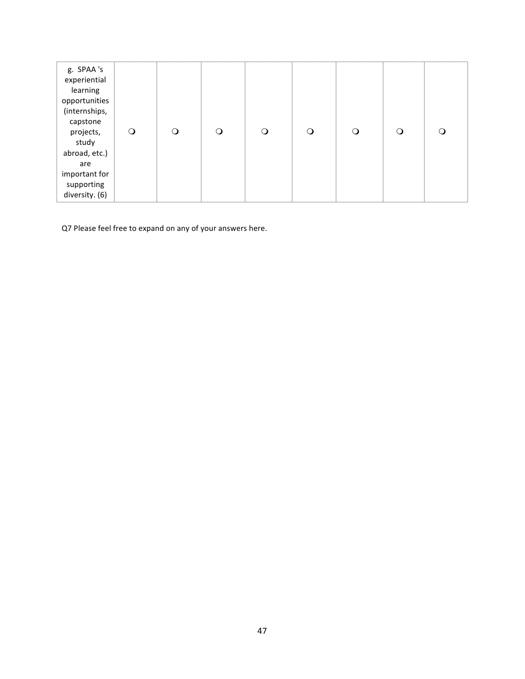| g. SPAA's<br>experiential<br>learning<br>opportunities<br>(internships,<br>capstone<br>projects,<br>study<br>abroad, etc.)<br>are<br>important for<br>supporting | $\circ$ | $\Omega$ | ∩ | O | $\circ$ | $\circ$ | O | $\Omega$ |
|------------------------------------------------------------------------------------------------------------------------------------------------------------------|---------|----------|---|---|---------|---------|---|----------|
| diversity. (6)                                                                                                                                                   |         |          |   |   |         |         |   |          |

Q7 Please feel free to expand on any of your answers here.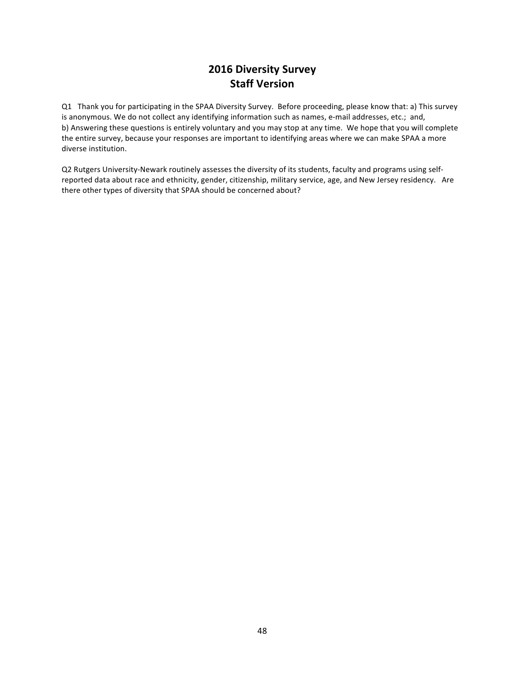## **2016 Diversity Survey Staff Version**

Q1 Thank you for participating in the SPAA Diversity Survey. Before proceeding, please know that: a) This survey is anonymous. We do not collect any identifying information such as names, e-mail addresses, etc.; and, b) Answering these questions is entirely voluntary and you may stop at any time. We hope that you will complete the entire survey, because your responses are important to identifying areas where we can make SPAA a more diverse institution.

Q2 Rutgers University-Newark routinely assesses the diversity of its students, faculty and programs using selfreported data about race and ethnicity, gender, citizenship, military service, age, and New Jersey residency. Are there other types of diversity that SPAA should be concerned about?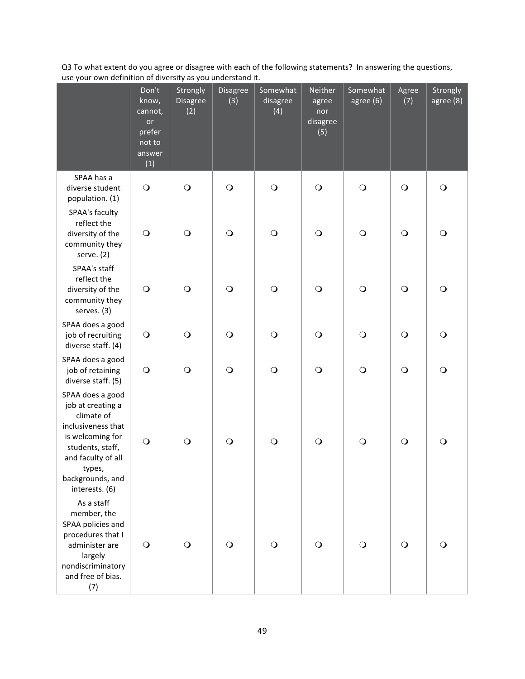Q3 To what extent do you agree or disagree with each of the following statements? In answering the questions, use your own definition of diversity as you understand it.

|                                                                                                                                                                                         | Don't<br>know,<br>cannot,<br>or<br>prefer<br>not to<br>answer<br>(1) | Strongly<br>Disagree<br>(2) | Disagree<br>(3) | Somewhat<br>disagree<br>(4) | Neither<br>agree<br>nor<br>disagree<br>(5) | Somewhat<br>agree (6) | Agree<br>(7) | Strongly<br>agree (8) |
|-----------------------------------------------------------------------------------------------------------------------------------------------------------------------------------------|----------------------------------------------------------------------|-----------------------------|-----------------|-----------------------------|--------------------------------------------|-----------------------|--------------|-----------------------|
| SPAA has a<br>diverse student<br>population. (1)                                                                                                                                        | $\bigcirc$                                                           | $\bigcirc$                  | $\bigcirc$      | $\bigcirc$                  | $\bigcirc$                                 | $\circ$               | $\circ$      | $\circ$               |
| SPAA's faculty<br>reflect the<br>diversity of the<br>community they<br>serve. (2)                                                                                                       | $\bigcirc$                                                           | $\bigcirc$                  | $\bigcirc$      | $\bigcirc$                  | $\circ$                                    | $\circ$               | $\circ$      | $\circ$               |
| SPAA's staff<br>reflect the<br>diversity of the<br>community they<br>serves. (3)                                                                                                        | $\bigcirc$                                                           | $\bigcirc$                  | $\bigcirc$      | $\bigcirc$                  | $\circ$                                    | $\circ$               | $\bigcirc$   | $\bigcirc$            |
| SPAA does a good<br>job of recruiting<br>diverse staff. (4)                                                                                                                             | $\bigcirc$                                                           | $\bigcirc$                  | $\bigcirc$      | $\bigcirc$                  | $\bigcirc$                                 | $\bigcirc$            | $\bigcirc$   | $\bigcirc$            |
| SPAA does a good<br>job of retaining<br>diverse staff. (5)                                                                                                                              | $\bigcirc$                                                           | $\bigcirc$                  | $\bigcirc$      | $\bigcirc$                  | $\bigcirc$                                 | $\bigcirc$            | $\bigcirc$   | $\bigcirc$            |
| SPAA does a good<br>job at creating a<br>climate of<br>inclusiveness that<br>is welcoming for<br>students, staff,<br>and faculty of all<br>types,<br>backgrounds, and<br>interests. (6) | $\bigcirc$                                                           | $\circ$                     | $\bigcirc$      | $\circ$                     | $\circ$                                    | $\circ$               | $\bigcirc$   | $\circ$               |
| As a staff<br>member, the<br>SPAA policies and<br>procedures that I<br>administer are<br>largely<br>nondiscriminatory<br>and free of bias.<br>(7)                                       | $\bigcirc$                                                           | $\circ$                     | $\bigcirc$      | $\circ$                     | $\circ$                                    | $\circ$               | $\bigcirc$   | $\circ$               |